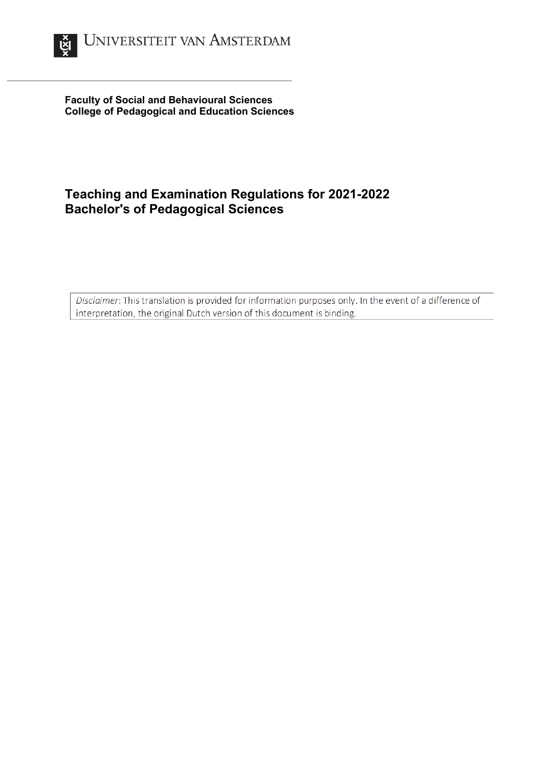

**Faculty of Social and Behavioural Sciences College of Pedagogical and Education Sciences**

# **Teaching and Examination Regulations for 2021-2022 Bachelor's of Pedagogical Sciences**

Disclaimer: This translation is provided for information purposes only. In the event of a difference of interpretation, the original Dutch version of this document is binding.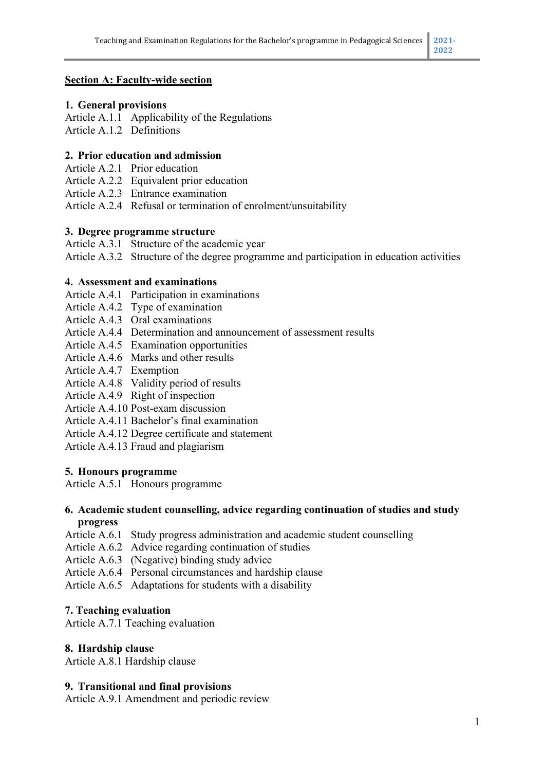## **Section A: Faculty-wide section**

#### **1. General provisions**

Article A.1.1 Applicability of the Regulations Article A.1.2 Definitions

#### **2. Prior education and admission**

- Article A.2.1 Prior education
- Article A.2.2 Equivalent prior education
- Article A.2.3 Entrance examination

Article A.2.4 Refusal or termination of enrolment/unsuitability

#### **3. Degree programme structure**

Article A.3.1 Structure of the academic year

Article A.3.2 Structure of the degree programme and participation in education activities

#### **4. Assessment and examinations**

- Article A.4.1 Participation in examinations
- Article A.4.2 Type of examination
- Article A.4.3 Oral examinations
- Article A.4.4 Determination and announcement of assessment results
- Article A.4.5 Examination opportunities
- Article A.4.6 Marks and other results
- Article A.4.7 Exemption
- Article A.4.8 Validity period of results
- Article A.4.9 Right of inspection
- Article A.4.10 Post-exam discussion
- Article A.4.11 Bachelor's final examination
- Article A.4.12 Degree certificate and statement
- Article A.4.13 Fraud and plagiarism

#### **5. Honours programme**

Article A.5.1 Honours programme

#### **6. Academic student counselling, advice regarding continuation of studies and study progress**

- Article A.6.1 Study progress administration and academic student counselling
- Article A.6.2 Advice regarding continuation of studies
- Article A.6.3 (Negative) binding study advice
- Article A.6.4 Personal circumstances and hardship clause
- Article A.6.5 Adaptations for students with a disability

#### **7. Teaching evaluation**

Article A.7.1 Teaching evaluation

#### **8. Hardship clause**

Article A.8.1 Hardship clause

#### **9. Transitional and final provisions**

Article A.9.1 Amendment and periodic review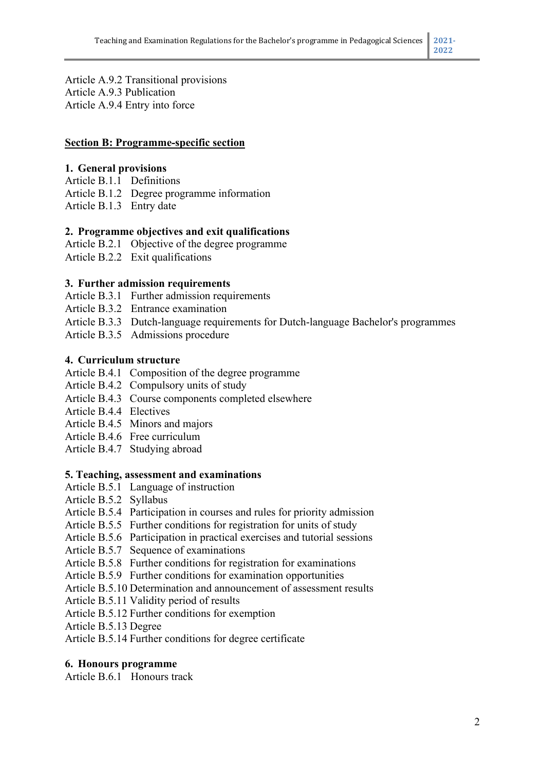Article A.9.2 Transitional provisions Article A.9.3 Publication Article A.9.4 Entry into force

### **Section B: Programme-specific section**

### **1. General provisions**

- Article B.1.1 Definitions
- Article B.1.2 Degree programme information
- Article B.1.3 Entry date

## **2. Programme objectives and exit qualifications**

- Article B.2.1 Objective of the degree programme
- Article B.2.2 Exit qualifications

#### **3. Further admission requirements**

- Article B.3.1 Further admission requirements
- Article B.3.2 Entrance examination
- Article B.3.3 Dutch-language requirements for Dutch-language Bachelor's programmes
- Article B.3.5 Admissions procedure

#### **4. Curriculum structure**

- Article B.4.1 Composition of the degree programme
- Article B.4.2 Compulsory units of study
- Article B.4.3 Course components completed elsewhere
- Article B.4.4 Electives
- Article B.4.5 Minors and majors
- Article B.4.6 Free curriculum
- Article B.4.7 Studying abroad

#### **5. Teaching, assessment and examinations**

- Article B.5.1 Language of instruction
- Article B.5.2 Syllabus
- Article B.5.4 Participation in courses and rules for priority admission
- Article B.5.5 Further conditions for registration for units of study
- Article B.5.6 Participation in practical exercises and tutorial sessions
- Article B.5.7 Sequence of examinations
- Article B.5.8 Further conditions for registration for examinations
- Article B.5.9 Further conditions for examination opportunities
- Article B.5.10 Determination and announcement of assessment results
- Article B.5.11 Validity period of results
- Article B.5.12 Further conditions for exemption

Article B.5.13 Degree

Article B.5.14 Further conditions for degree certificate

#### **6. Honours programme**

Article B.6.1 Honours track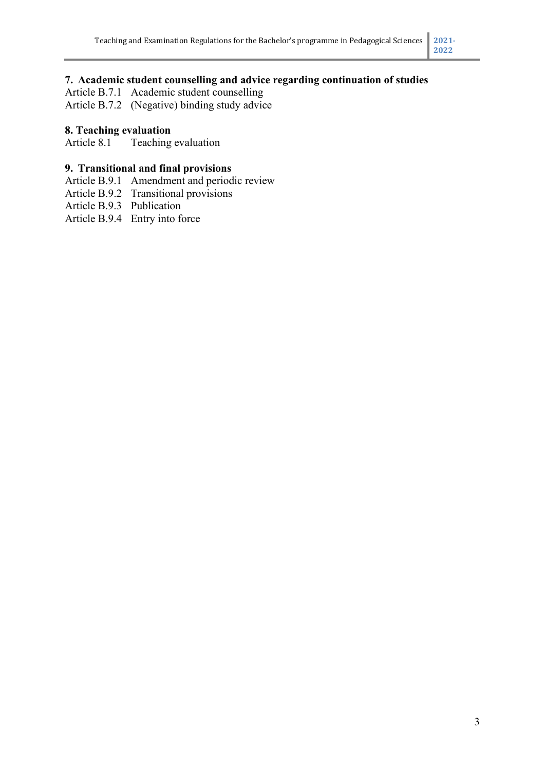## **7. Academic student counselling and advice regarding continuation of studies**

Article B.7.1 Academic student counselling

Article B.7.2 (Negative) binding study advice

## **8. Teaching evaluation**

Article 8.1 Teaching evaluation

## **9. Transitional and final provisions**

- Article B.9.1 Amendment and periodic review
- Article B.9.2 Transitional provisions
- Article B.9.3 Publication

Article B.9.4 Entry into force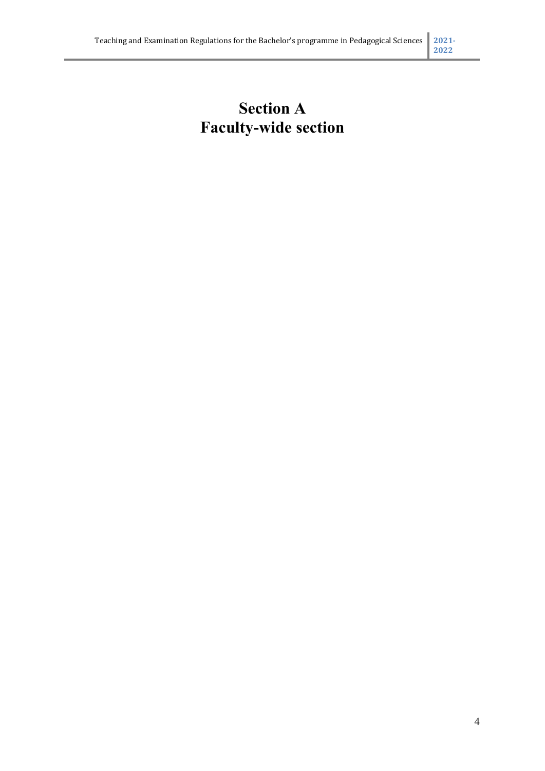# **Section A Faculty-wide section**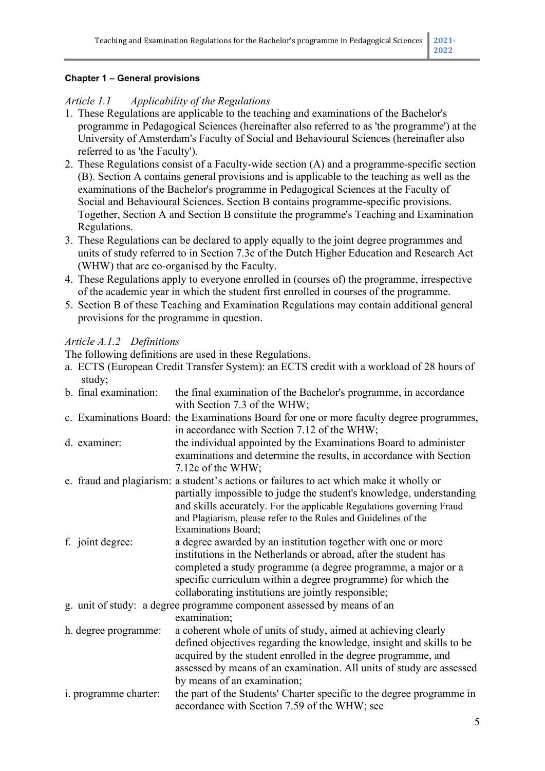#### **Chapter 1 – General provisions**

## *Article 1.1 Applicability of the Regulations*

- 1. These Regulations are applicable to the teaching and examinations of the Bachelor's programme in Pedagogical Sciences (hereinafter also referred to as 'the programme') at the University of Amsterdam's Faculty of Social and Behavioural Sciences (hereinafter also referred to as 'the Faculty').
- 2. These Regulations consist of a Faculty-wide section (A) and a programme-specific section (B). Section A contains general provisions and is applicable to the teaching as well as the examinations of the Bachelor's programme in Pedagogical Sciences at the Faculty of Social and Behavioural Sciences. Section B contains programme-specific provisions. Together, Section A and Section B constitute the programme's Teaching and Examination Regulations.
- 3. These Regulations can be declared to apply equally to the joint degree programmes and units of study referred to in Section 7.3c of the Dutch Higher Education and Research Act (WHW) that are co-organised by the Faculty.
- 4. These Regulations apply to everyone enrolled in (courses of) the programme, irrespective of the academic year in which the student first enrolled in courses of the programme.
- 5. Section B of these Teaching and Examination Regulations may contain additional general provisions for the programme in question.

## *Article A.1.2 Definitions*

The following definitions are used in these Regulations.

a. ECTS (European Credit Transfer System): an ECTS credit with a workload of 28 hours of study; b. final examination: the final examination of the Bachelor's programme, in accordance with Section 7.3 of the WHW; c. Examinations Board: the Examinations Board for one or more faculty degree programmes, in accordance with Section 7.12 of the WHW; d. examiner: the individual appointed by the Examinations Board to administer examinations and determine the results, in accordance with Section 7.12c of the WHW; e. fraud and plagiarism: a student's actions or failures to act which make it wholly or partially impossible to judge the student's knowledge, understanding and skills accurately. For the applicable Regulations governing Fraud and Plagiarism, please refer to the Rules and Guidelines of the Examinations Board; f. joint degree: a degree awarded by an institution together with one or more institutions in the Netherlands or abroad, after the student has completed a study programme (a degree programme, a major or a specific curriculum within a degree programme) for which the collaborating institutions are jointly responsible; g. unit of study: a degree programme component assessed by means of an examination; h. degree programme: a coherent whole of units of study, aimed at achieving clearly defined objectives regarding the knowledge, insight and skills to be acquired by the student enrolled in the degree programme, and assessed by means of an examination. All units of study are assessed by means of an examination; i. programme charter: the part of the Students' Charter specific to the degree programme in accordance with Section 7.59 of the WHW; see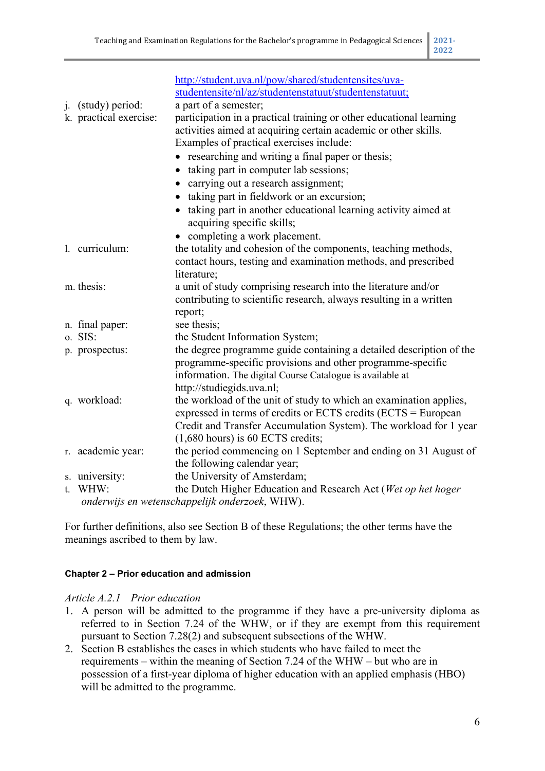| http://student.uva.nl/pow/shared/studentensites/uva-<br>studentensite/nl/az/studentenstatuut/studentenstatuut;<br>a part of a semester;<br>participation in a practical training or other educational learning<br>activities aimed at acquiring certain academic or other skills.<br>Examples of practical exercises include:<br>• researching and writing a final paper or thesis; | j. (study) period:<br>k. practical exercise: |
|-------------------------------------------------------------------------------------------------------------------------------------------------------------------------------------------------------------------------------------------------------------------------------------------------------------------------------------------------------------------------------------|----------------------------------------------|
| taking part in computer lab sessions;                                                                                                                                                                                                                                                                                                                                               |                                              |
| carrying out a research assignment;                                                                                                                                                                                                                                                                                                                                                 |                                              |
| • taking part in fieldwork or an excursion;                                                                                                                                                                                                                                                                                                                                         |                                              |
| • taking part in another educational learning activity aimed at<br>acquiring specific skills;                                                                                                                                                                                                                                                                                       |                                              |
| • completing a work placement.                                                                                                                                                                                                                                                                                                                                                      |                                              |
| the totality and cohesion of the components, teaching methods,<br>contact hours, testing and examination methods, and prescribed<br>literature;                                                                                                                                                                                                                                     | 1. curriculum:                               |
| a unit of study comprising research into the literature and/or<br>contributing to scientific research, always resulting in a written<br>report;                                                                                                                                                                                                                                     | m. thesis:                                   |
| see thesis;                                                                                                                                                                                                                                                                                                                                                                         | n. final paper:                              |
| the Student Information System;                                                                                                                                                                                                                                                                                                                                                     | o. SIS:                                      |
| the degree programme guide containing a detailed description of the<br>programme-specific provisions and other programme-specific<br>information. The digital Course Catalogue is available at                                                                                                                                                                                      | p. prospectus:                               |
| http://studiegids.uva.nl;                                                                                                                                                                                                                                                                                                                                                           |                                              |
| the workload of the unit of study to which an examination applies,<br>expressed in terms of credits or ECTS credits (ECTS = European<br>Credit and Transfer Accumulation System). The workload for 1 year                                                                                                                                                                           | q. workload:                                 |
| $(1,680$ hours) is 60 ECTS credits;                                                                                                                                                                                                                                                                                                                                                 |                                              |
| the period commencing on 1 September and ending on 31 August of<br>the following calendar year;                                                                                                                                                                                                                                                                                     | r. academic year:                            |
| the University of Amsterdam;                                                                                                                                                                                                                                                                                                                                                        | s. university:                               |
| the Dutch Higher Education and Research Act (Wet op het hoger                                                                                                                                                                                                                                                                                                                       | t. WHW:                                      |
| onderwijs en wetenschappelijk onderzoek, WHW).                                                                                                                                                                                                                                                                                                                                      |                                              |

For further definitions, also see Section B of these Regulations; the other terms have the meanings ascribed to them by law.

#### **Chapter 2 – Prior education and admission**

#### *Article A.2.1 Prior education*

- 1. A person will be admitted to the programme if they have a pre-university diploma as referred to in Section 7.24 of the WHW, or if they are exempt from this requirement pursuant to Section 7.28(2) and subsequent subsections of the WHW.
- 2. Section B establishes the cases in which students who have failed to meet the requirements – within the meaning of Section 7.24 of the WHW – but who are in possession of a first-year diploma of higher education with an applied emphasis (HBO) will be admitted to the programme.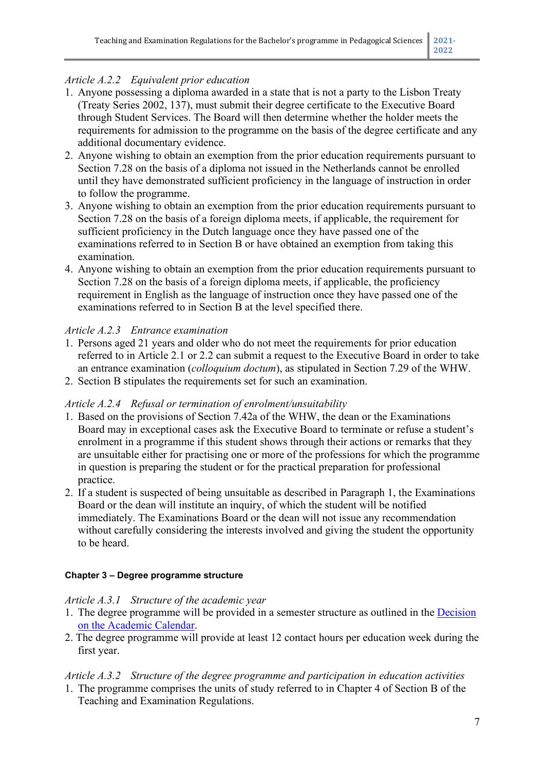# *Article A.2.2 Equivalent prior education*

- 1. Anyone possessing a diploma awarded in a state that is not a party to the Lisbon Treaty (Treaty Series 2002, 137), must submit their degree certificate to the Executive Board through Student Services. The Board will then determine whether the holder meets the requirements for admission to the programme on the basis of the degree certificate and any additional documentary evidence.
- 2. Anyone wishing to obtain an exemption from the prior education requirements pursuant to Section 7.28 on the basis of a diploma not issued in the Netherlands cannot be enrolled until they have demonstrated sufficient proficiency in the language of instruction in order to follow the programme.
- 3. Anyone wishing to obtain an exemption from the prior education requirements pursuant to Section 7.28 on the basis of a foreign diploma meets, if applicable, the requirement for sufficient proficiency in the Dutch language once they have passed one of the examinations referred to in Section B or have obtained an exemption from taking this examination.
- 4. Anyone wishing to obtain an exemption from the prior education requirements pursuant to Section 7.28 on the basis of a foreign diploma meets, if applicable, the proficiency requirement in English as the language of instruction once they have passed one of the examinations referred to in Section B at the level specified there.

## *Article A.2.3 Entrance examination*

- 1. Persons aged 21 years and older who do not meet the requirements for prior education referred to in Article 2.1 or 2.2 can submit a request to the Executive Board in order to take an entrance examination (*colloquium doctum*), as stipulated in Section 7.29 of the WHW.
- 2. Section B stipulates the requirements set for such an examination.

## *Article A.2.4 Refusal or termination of enrolment/unsuitability*

- 1. Based on the provisions of Section 7.42a of the WHW, the dean or the Examinations Board may in exceptional cases ask the Executive Board to terminate or refuse a student's enrolment in a programme if this student shows through their actions or remarks that they are unsuitable either for practising one or more of the professions for which the programme in question is preparing the student or for the practical preparation for professional practice.
- 2. If a student is suspected of being unsuitable as described in Paragraph 1, the Examinations Board or the dean will institute an inquiry, of which the student will be notified immediately. The Examinations Board or the dean will not issue any recommendation without carefully considering the interests involved and giving the student the opportunity to be heard.

## **Chapter 3 – Degree programme structure**

## *Article A.3.1 Structure of the academic year*

- 1. The degree programme will be provided in a semester structure as outlined in the [Decision](http://www.uva.nl/binaries/content/assets/uva/nl/over-de-uva/over-de-uva/regelingen-en-regelementen/onderwijs/besluit-jaarindeling-onderwijs-2017-2024.pdf?3034787701703)  [on the Academic Calendar.](http://www.uva.nl/binaries/content/assets/uva/nl/over-de-uva/over-de-uva/regelingen-en-regelementen/onderwijs/besluit-jaarindeling-onderwijs-2017-2024.pdf?3034787701703)
- 2. The degree programme will provide at least 12 contact hours per education week during the first year.

# *Article A.3.2 Structure of the degree programme and participation in education activities*

1. The programme comprises the units of study referred to in Chapter 4 of Section B of the Teaching and Examination Regulations.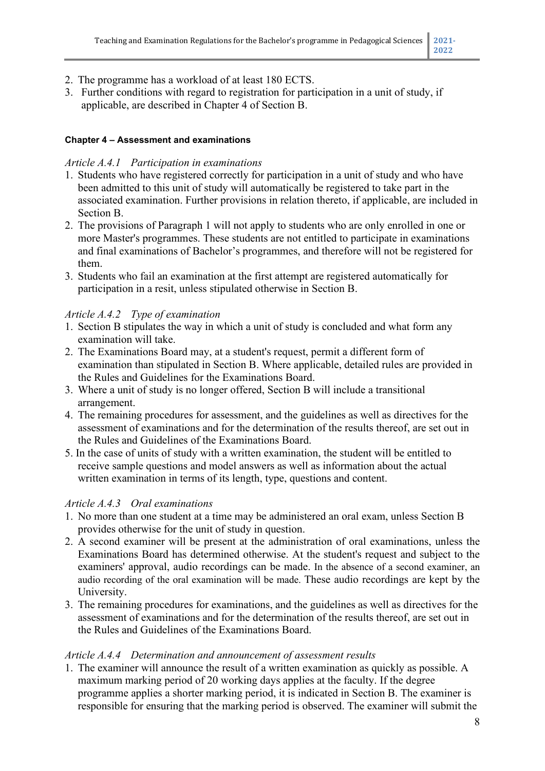- 2. The programme has a workload of at least 180 ECTS.
- 3. Further conditions with regard to registration for participation in a unit of study, if applicable, are described in Chapter 4 of Section B.

#### **Chapter 4 – Assessment and examinations**

## *Article A.4.1 Participation in examinations*

- 1. Students who have registered correctly for participation in a unit of study and who have been admitted to this unit of study will automatically be registered to take part in the associated examination. Further provisions in relation thereto, if applicable, are included in Section B.
- 2. The provisions of Paragraph 1 will not apply to students who are only enrolled in one or more Master's programmes. These students are not entitled to participate in examinations and final examinations of Bachelor's programmes, and therefore will not be registered for them.
- 3. Students who fail an examination at the first attempt are registered automatically for participation in a resit, unless stipulated otherwise in Section B.

## *Article A.4.2 Type of examination*

- 1. Section B stipulates the way in which a unit of study is concluded and what form any examination will take.
- 2. The Examinations Board may, at a student's request, permit a different form of examination than stipulated in Section B. Where applicable, detailed rules are provided in the Rules and Guidelines for the Examinations Board.
- 3. Where a unit of study is no longer offered, Section B will include a transitional arrangement.
- 4. The remaining procedures for assessment, and the guidelines as well as directives for the assessment of examinations and for the determination of the results thereof, are set out in the Rules and Guidelines of the Examinations Board.
- 5. In the case of units of study with a written examination, the student will be entitled to receive sample questions and model answers as well as information about the actual written examination in terms of its length, type, questions and content.

## *Article A.4.3 Oral examinations*

- 1. No more than one student at a time may be administered an oral exam, unless Section B provides otherwise for the unit of study in question.
- 2. A second examiner will be present at the administration of oral examinations, unless the Examinations Board has determined otherwise. At the student's request and subject to the examiners' approval, audio recordings can be made. In the absence of a second examiner, an audio recording of the oral examination will be made. These audio recordings are kept by the University.
- 3. The remaining procedures for examinations, and the guidelines as well as directives for the assessment of examinations and for the determination of the results thereof, are set out in the Rules and Guidelines of the Examinations Board.

## *Article A.4.4 Determination and announcement of assessment results*

1. The examiner will announce the result of a written examination as quickly as possible. A maximum marking period of 20 working days applies at the faculty. If the degree programme applies a shorter marking period, it is indicated in Section B. The examiner is responsible for ensuring that the marking period is observed. The examiner will submit the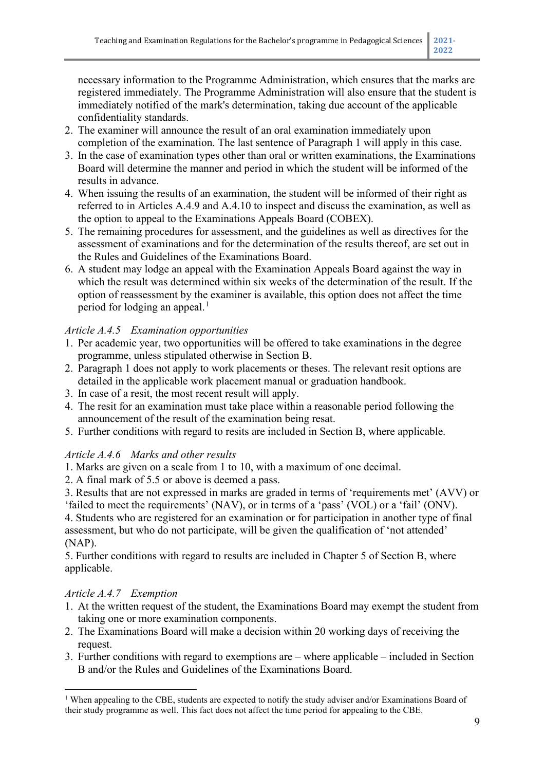necessary information to the Programme Administration, which ensures that the marks are registered immediately. The Programme Administration will also ensure that the student is immediately notified of the mark's determination, taking due account of the applicable confidentiality standards.

- 2. The examiner will announce the result of an oral examination immediately upon completion of the examination. The last sentence of Paragraph 1 will apply in this case.
- 3. In the case of examination types other than oral or written examinations, the Examinations Board will determine the manner and period in which the student will be informed of the results in advance.
- 4. When issuing the results of an examination, the student will be informed of their right as referred to in Articles A.4.9 and A.4.10 to inspect and discuss the examination, as well as the option to appeal to the Examinations Appeals Board (COBEX).
- 5. The remaining procedures for assessment, and the guidelines as well as directives for the assessment of examinations and for the determination of the results thereof, are set out in the Rules and Guidelines of the Examinations Board.
- 6. A student may lodge an appeal with the Examination Appeals Board against the way in which the result was determined within six weeks of the determination of the result. If the option of reassessment by the examiner is available, this option does not affect the time period for lodging an appeal.<sup>[1](#page-9-0)</sup>

# *Article A.4.5 Examination opportunities*

- 1. Per academic year, two opportunities will be offered to take examinations in the degree programme, unless stipulated otherwise in Section B.
- 2. Paragraph 1 does not apply to work placements or theses. The relevant resit options are detailed in the applicable work placement manual or graduation handbook.
- 3. In case of a resit, the most recent result will apply.
- 4. The resit for an examination must take place within a reasonable period following the announcement of the result of the examination being resat.
- 5. Further conditions with regard to resits are included in Section B, where applicable.

## *Article A.4.6 Marks and other results*

- 1. Marks are given on a scale from 1 to 10, with a maximum of one decimal.
- 2. A final mark of 5.5 or above is deemed a pass.
- 3. Results that are not expressed in marks are graded in terms of 'requirements met' (AVV) or 'failed to meet the requirements' (NAV), or in terms of a 'pass' (VOL) or a 'fail' (ONV).

4. Students who are registered for an examination or for participation in another type of final assessment, but who do not participate, will be given the qualification of 'not attended' (NAP).

5. Further conditions with regard to results are included in Chapter 5 of Section B, where applicable.

# *Article A.4.7 Exemption*

- 1. At the written request of the student, the Examinations Board may exempt the student from taking one or more examination components.
- 2. The Examinations Board will make a decision within 20 working days of receiving the request.
- 3. Further conditions with regard to exemptions are where applicable included in Section B and/or the Rules and Guidelines of the Examinations Board.

<span id="page-9-0"></span><sup>&</sup>lt;sup>1</sup> When appealing to the CBE, students are expected to notify the study adviser and/or Examinations Board of their study programme as well. This fact does not affect the time period for appealing to the CBE.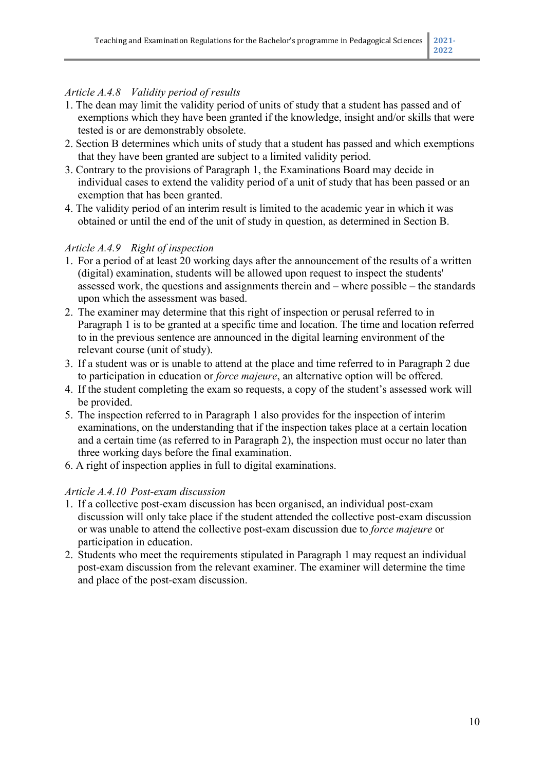## *Article A.4.8 Validity period of results*

- 1. The dean may limit the validity period of units of study that a student has passed and of exemptions which they have been granted if the knowledge, insight and/or skills that were tested is or are demonstrably obsolete.
- 2. Section B determines which units of study that a student has passed and which exemptions that they have been granted are subject to a limited validity period.
- 3. Contrary to the provisions of Paragraph 1, the Examinations Board may decide in individual cases to extend the validity period of a unit of study that has been passed or an exemption that has been granted.
- 4. The validity period of an interim result is limited to the academic year in which it was obtained or until the end of the unit of study in question, as determined in Section B.

# *Article A.4.9 Right of inspection*

- 1. For a period of at least 20 working days after the announcement of the results of a written (digital) examination, students will be allowed upon request to inspect the students' assessed work, the questions and assignments therein and – where possible – the standards upon which the assessment was based.
- 2. The examiner may determine that this right of inspection or perusal referred to in Paragraph 1 is to be granted at a specific time and location. The time and location referred to in the previous sentence are announced in the digital learning environment of the relevant course (unit of study).
- 3. If a student was or is unable to attend at the place and time referred to in Paragraph 2 due to participation in education or *force majeure*, an alternative option will be offered.
- 4. If the student completing the exam so requests, a copy of the student's assessed work will be provided.
- 5. The inspection referred to in Paragraph 1 also provides for the inspection of interim examinations, on the understanding that if the inspection takes place at a certain location and a certain time (as referred to in Paragraph 2), the inspection must occur no later than three working days before the final examination.
- 6. A right of inspection applies in full to digital examinations.

# *Article A.4.10 Post-exam discussion*

- 1. If a collective post-exam discussion has been organised, an individual post-exam discussion will only take place if the student attended the collective post-exam discussion or was unable to attend the collective post-exam discussion due to *force majeure* or participation in education.
- 2. Students who meet the requirements stipulated in Paragraph 1 may request an individual post-exam discussion from the relevant examiner. The examiner will determine the time and place of the post-exam discussion.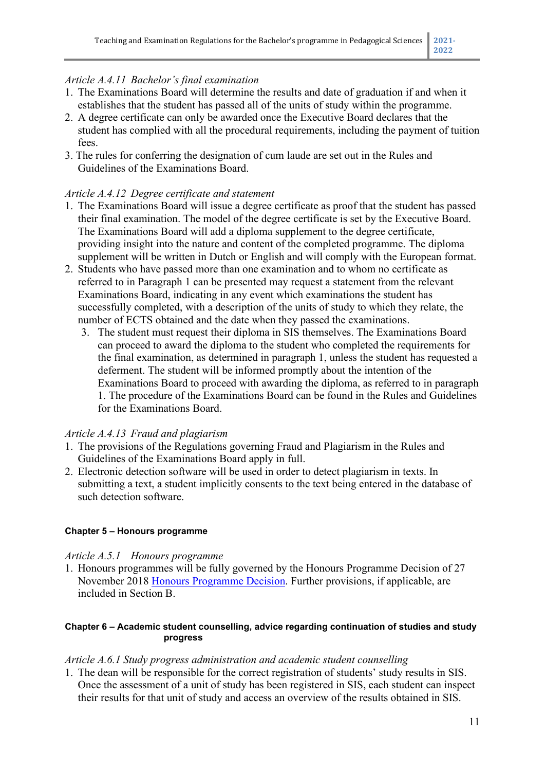## *Article A.4.11 Bachelor's final examination*

- 1. The Examinations Board will determine the results and date of graduation if and when it establishes that the student has passed all of the units of study within the programme.
- 2. A degree certificate can only be awarded once the Executive Board declares that the student has complied with all the procedural requirements, including the payment of tuition fees.
- 3. The rules for conferring the designation of cum laude are set out in the Rules and Guidelines of the Examinations Board.

## *Article A.4.12 Degree certificate and statement*

- 1. The Examinations Board will issue a degree certificate as proof that the student has passed their final examination. The model of the degree certificate is set by the Executive Board. The Examinations Board will add a diploma supplement to the degree certificate, providing insight into the nature and content of the completed programme. The diploma supplement will be written in Dutch or English and will comply with the European format.
- 2. Students who have passed more than one examination and to whom no certificate as referred to in Paragraph 1 can be presented may request a statement from the relevant Examinations Board, indicating in any event which examinations the student has successfully completed, with a description of the units of study to which they relate, the number of ECTS obtained and the date when they passed the examinations.
	- 3. The student must request their diploma in SIS themselves. The Examinations Board can proceed to award the diploma to the student who completed the requirements for the final examination, as determined in paragraph 1, unless the student has requested a deferment. The student will be informed promptly about the intention of the Examinations Board to proceed with awarding the diploma, as referred to in paragraph 1. The procedure of the Examinations Board can be found in the Rules and Guidelines for the Examinations Board.

## *Article A.4.13 Fraud and plagiarism*

- 1. The provisions of the Regulations governing Fraud and Plagiarism in the Rules and Guidelines of the Examinations Board apply in full.
- 2. Electronic detection software will be used in order to detect plagiarism in texts. In submitting a text, a student implicitly consents to the text being entered in the database of such detection software.

#### **Chapter 5 – Honours programme**

#### *Article A.5.1 Honours programme*

1. Honours programmes will be fully governed by the Honours Programme Decision of 27 November 2018 [Honours Programme Decision.](http://www.uva.nl/over-de-uva/uva-profiel/regelingen-en-reglementen/onderwijs/onderwijs.html) Further provisions, if applicable, are included in Section B.

#### **Chapter 6 – Academic student counselling, advice regarding continuation of studies and study progress**

#### *Article A.6.1 Study progress administration and academic student counselling*

1. The dean will be responsible for the correct registration of students' study results in SIS. Once the assessment of a unit of study has been registered in SIS, each student can inspect their results for that unit of study and access an overview of the results obtained in SIS.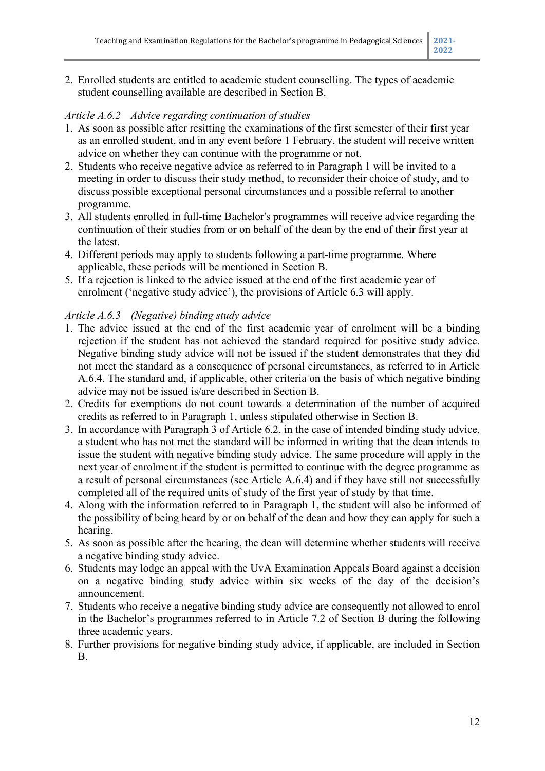2. Enrolled students are entitled to academic student counselling. The types of academic student counselling available are described in Section B.

## *Article A.6.2 Advice regarding continuation of studies*

- 1. As soon as possible after resitting the examinations of the first semester of their first year as an enrolled student, and in any event before 1 February, the student will receive written advice on whether they can continue with the programme or not.
- 2. Students who receive negative advice as referred to in Paragraph 1 will be invited to a meeting in order to discuss their study method, to reconsider their choice of study, and to discuss possible exceptional personal circumstances and a possible referral to another programme.
- 3. All students enrolled in full-time Bachelor's programmes will receive advice regarding the continuation of their studies from or on behalf of the dean by the end of their first year at the latest.
- 4. Different periods may apply to students following a part-time programme. Where applicable, these periods will be mentioned in Section B.
- 5. If a rejection is linked to the advice issued at the end of the first academic year of enrolment ('negative study advice'), the provisions of Article 6.3 will apply.

## *Article A.6.3 (Negative) binding study advice*

- 1. The advice issued at the end of the first academic year of enrolment will be a binding rejection if the student has not achieved the standard required for positive study advice. Negative binding study advice will not be issued if the student demonstrates that they did not meet the standard as a consequence of personal circumstances, as referred to in Article A.6.4. The standard and, if applicable, other criteria on the basis of which negative binding advice may not be issued is/are described in Section B.
- 2. Credits for exemptions do not count towards a determination of the number of acquired credits as referred to in Paragraph 1, unless stipulated otherwise in Section B.
- 3. In accordance with Paragraph 3 of Article 6.2, in the case of intended binding study advice, a student who has not met the standard will be informed in writing that the dean intends to issue the student with negative binding study advice. The same procedure will apply in the next year of enrolment if the student is permitted to continue with the degree programme as a result of personal circumstances (see Article A.6.4) and if they have still not successfully completed all of the required units of study of the first year of study by that time.
- 4. Along with the information referred to in Paragraph 1, the student will also be informed of the possibility of being heard by or on behalf of the dean and how they can apply for such a hearing.
- 5. As soon as possible after the hearing, the dean will determine whether students will receive a negative binding study advice.
- 6. Students may lodge an appeal with the UvA Examination Appeals Board against a decision on a negative binding study advice within six weeks of the day of the decision's announcement.
- 7. Students who receive a negative binding study advice are consequently not allowed to enrol in the Bachelor's programmes referred to in Article 7.2 of Section B during the following three academic years.
- 8. Further provisions for negative binding study advice, if applicable, are included in Section B.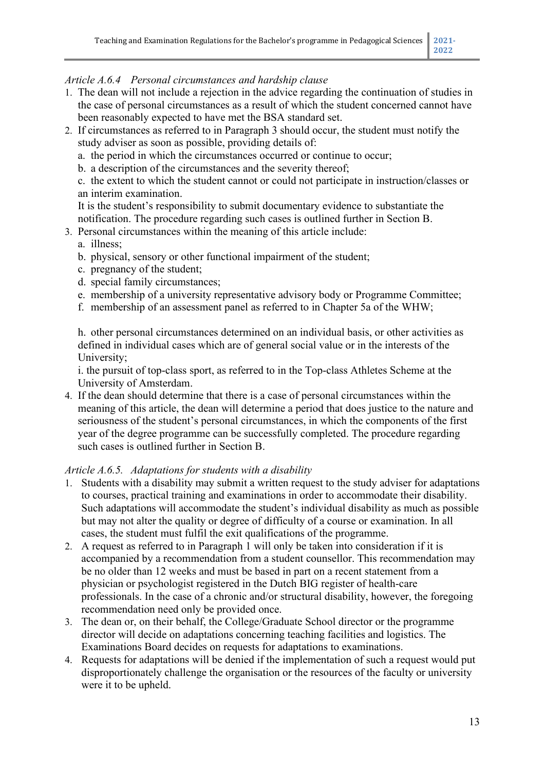## *Article A.6.4 Personal circumstances and hardship clause*

- 1. The dean will not include a rejection in the advice regarding the continuation of studies in the case of personal circumstances as a result of which the student concerned cannot have been reasonably expected to have met the BSA standard set.
- 2. If circumstances as referred to in Paragraph 3 should occur, the student must notify the study adviser as soon as possible, providing details of:
	- a. the period in which the circumstances occurred or continue to occur;
	- b. a description of the circumstances and the severity thereof;
	- c. the extent to which the student cannot or could not participate in instruction/classes or an interim examination.
	- It is the student's responsibility to submit documentary evidence to substantiate the notification. The procedure regarding such cases is outlined further in Section B.
- 3. Personal circumstances within the meaning of this article include:
	- a. illness;
	- b. physical, sensory or other functional impairment of the student;
	- c. pregnancy of the student;
	- d. special family circumstances;
	- e. membership of a university representative advisory body or Programme Committee;
	- f. membership of an assessment panel as referred to in Chapter 5a of the WHW;

h. other personal circumstances determined on an individual basis, or other activities as defined in individual cases which are of general social value or in the interests of the University;

i. the pursuit of top-class sport, as referred to in the Top-class Athletes Scheme at the University of Amsterdam.

4. If the dean should determine that there is a case of personal circumstances within the meaning of this article, the dean will determine a period that does justice to the nature and seriousness of the student's personal circumstances, in which the components of the first year of the degree programme can be successfully completed. The procedure regarding such cases is outlined further in Section B.

#### *Article A.6.5. Adaptations for students with a disability*

- 1. Students with a disability may submit a written request to the study adviser for adaptations to courses, practical training and examinations in order to accommodate their disability. Such adaptations will accommodate the student's individual disability as much as possible but may not alter the quality or degree of difficulty of a course or examination. In all cases, the student must fulfil the exit qualifications of the programme.
- 2. A request as referred to in Paragraph 1 will only be taken into consideration if it is accompanied by a recommendation from a student counsellor. This recommendation may be no older than 12 weeks and must be based in part on a recent statement from a physician or psychologist registered in the Dutch BIG register of health-care professionals. In the case of a chronic and/or structural disability, however, the foregoing recommendation need only be provided once.
- 3. The dean or, on their behalf, the College/Graduate School director or the programme director will decide on adaptations concerning teaching facilities and logistics. The Examinations Board decides on requests for adaptations to examinations.
- 4. Requests for adaptations will be denied if the implementation of such a request would put disproportionately challenge the organisation or the resources of the faculty or university were it to be upheld.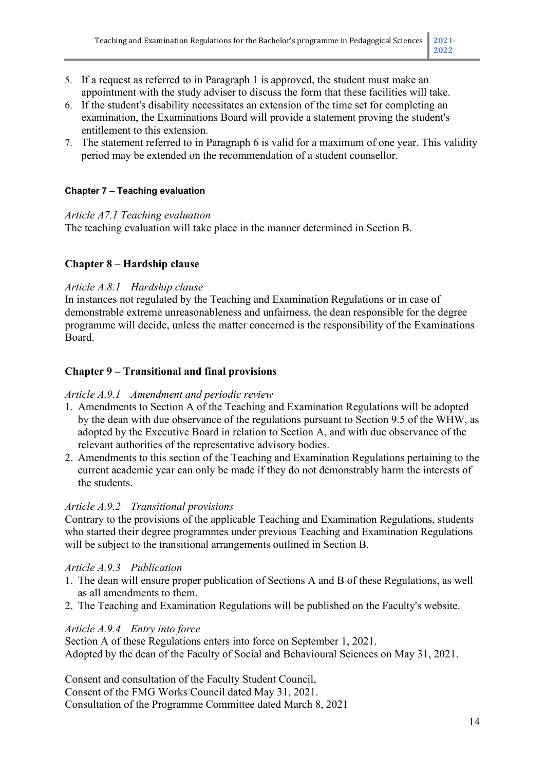- 5. If a request as referred to in Paragraph 1 is approved, the student must make an appointment with the study adviser to discuss the form that these facilities will take.
- 6. If the student's disability necessitates an extension of the time set for completing an examination, the Examinations Board will provide a statement proving the student's entitlement to this extension.
- 7. The statement referred to in Paragraph 6 is valid for a maximum of one year. This validity period may be extended on the recommendation of a student counsellor.

## **Chapter 7 – Teaching evaluation**

#### *Article A7.1 Teaching evaluation*

The teaching evaluation will take place in the manner determined in Section B.

## **Chapter 8 – Hardship clause**

## *Article A.8.1 Hardship clause*

In instances not regulated by the Teaching and Examination Regulations or in case of demonstrable extreme unreasonableness and unfairness, the dean responsible for the degree programme will decide, unless the matter concerned is the responsibility of the Examinations Board.

## **Chapter 9 – Transitional and final provisions**

## *Article A.9.1 Amendment and periodic review*

- 1. Amendments to Section A of the Teaching and Examination Regulations will be adopted by the dean with due observance of the regulations pursuant to Section 9.5 of the WHW, as adopted by the Executive Board in relation to Section A, and with due observance of the relevant authorities of the representative advisory bodies.
- 2. Amendments to this section of the Teaching and Examination Regulations pertaining to the current academic year can only be made if they do not demonstrably harm the interests of the students.

## *Article A.9.2 Transitional provisions*

Contrary to the provisions of the applicable Teaching and Examination Regulations, students who started their degree programmes under previous Teaching and Examination Regulations will be subject to the transitional arrangements outlined in Section B.

## *Article A.9.3 Publication*

- 1. The dean will ensure proper publication of Sections A and B of these Regulations, as well as all amendments to them.
- 2. The Teaching and Examination Regulations will be published on the Faculty's website.

## *Article A.9.4 Entry into force*

Section A of these Regulations enters into force on September 1, 2021. Adopted by the dean of the Faculty of Social and Behavioural Sciences on May 31, 2021.

Consent and consultation of the Faculty Student Council, Consent of the FMG Works Council dated May 31, 2021. Consultation of the Programme Committee dated March 8, 2021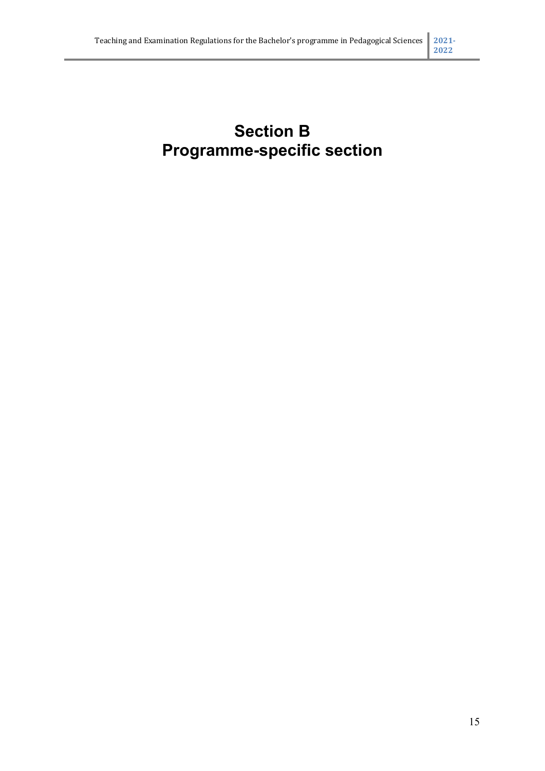# **Section B Programme-specific section**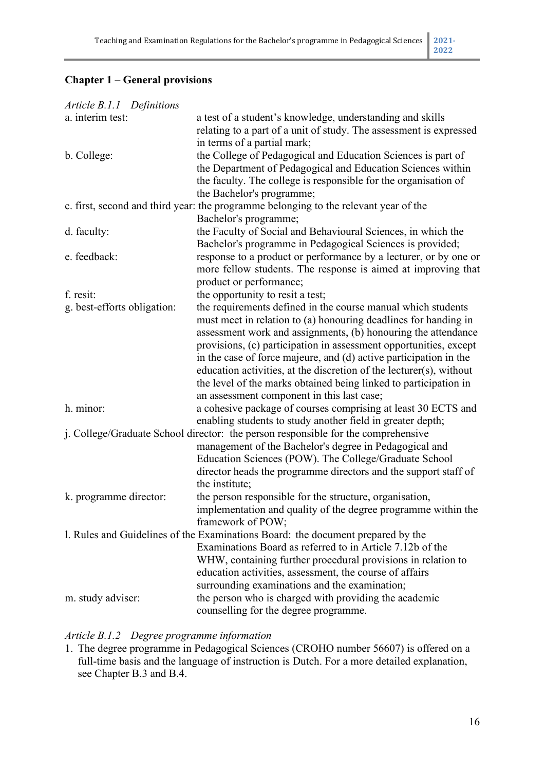# **Chapter 1 – General provisions**

| Article B.1.1 Definitions   |                                                                                      |
|-----------------------------|--------------------------------------------------------------------------------------|
| a. interim test:            | a test of a student's knowledge, understanding and skills                            |
|                             | relating to a part of a unit of study. The assessment is expressed                   |
|                             | in terms of a partial mark;                                                          |
| b. College:                 | the College of Pedagogical and Education Sciences is part of                         |
|                             | the Department of Pedagogical and Education Sciences within                          |
|                             | the faculty. The college is responsible for the organisation of                      |
|                             | the Bachelor's programme;                                                            |
|                             | c. first, second and third year: the programme belonging to the relevant year of the |
|                             | Bachelor's programme;                                                                |
| d. faculty:                 | the Faculty of Social and Behavioural Sciences, in which the                         |
|                             | Bachelor's programme in Pedagogical Sciences is provided;                            |
| e. feedback:                | response to a product or performance by a lecturer, or by one or                     |
|                             | more fellow students. The response is aimed at improving that                        |
|                             | product or performance;                                                              |
| f. resit:                   | the opportunity to resit a test;                                                     |
| g. best-efforts obligation: | the requirements defined in the course manual which students                         |
|                             | must meet in relation to (a) honouring deadlines for handing in                      |
|                             | assessment work and assignments, (b) honouring the attendance                        |
|                             | provisions, (c) participation in assessment opportunities, except                    |
|                             | in the case of force majeure, and (d) active participation in the                    |
|                             | education activities, at the discretion of the lecturer(s), without                  |
|                             | the level of the marks obtained being linked to participation in                     |
|                             | an assessment component in this last case;                                           |
| h. minor:                   | a cohesive package of courses comprising at least 30 ECTS and                        |
|                             | enabling students to study another field in greater depth;                           |
|                             | j. College/Graduate School director: the person responsible for the comprehensive    |
|                             | management of the Bachelor's degree in Pedagogical and                               |
|                             |                                                                                      |
|                             | Education Sciences (POW). The College/Graduate School                                |
|                             | director heads the programme directors and the support staff of<br>the institute;    |
|                             |                                                                                      |
| k. programme director:      | the person responsible for the structure, organisation,                              |
|                             | implementation and quality of the degree programme within the                        |
|                             | framework of POW;                                                                    |
|                             | 1. Rules and Guidelines of the Examinations Board: the document prepared by the      |
|                             | Examinations Board as referred to in Article 7.12b of the                            |
|                             | WHW, containing further procedural provisions in relation to                         |
|                             | education activities, assessment, the course of affairs                              |
|                             | surrounding examinations and the examination;                                        |
| m. study adviser:           | the person who is charged with providing the academic                                |
|                             | counselling for the degree programme.                                                |

## *Article B.1.2 Degree programme information*

1. The degree programme in Pedagogical Sciences (CROHO number 56607) is offered on a full-time basis and the language of instruction is Dutch. For a more detailed explanation, see Chapter B.3 and B.4.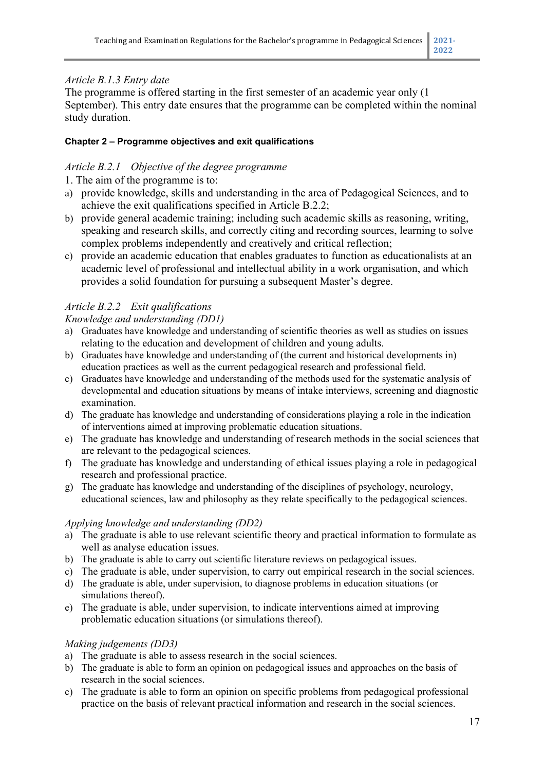# *Article B.1.3 Entry date*

The programme is offered starting in the first semester of an academic year only (1 September). This entry date ensures that the programme can be completed within the nominal study duration.

## **Chapter 2 – Programme objectives and exit qualifications**

## *Article B.2.1 Objective of the degree programme*

1. The aim of the programme is to:

- a) provide knowledge, skills and understanding in the area of Pedagogical Sciences, and to achieve the exit qualifications specified in Article B.2.2;
- b) provide general academic training; including such academic skills as reasoning, writing, speaking and research skills, and correctly citing and recording sources, learning to solve complex problems independently and creatively and critical reflection;
- c) provide an academic education that enables graduates to function as educationalists at an academic level of professional and intellectual ability in a work organisation, and which provides a solid foundation for pursuing a subsequent Master's degree.

# *Article B.2.2 Exit qualifications*

#### *Knowledge and understanding (DD1)*

- a) Graduates have knowledge and understanding of scientific theories as well as studies on issues relating to the education and development of children and young adults.
- b) Graduates have knowledge and understanding of (the current and historical developments in) education practices as well as the current pedagogical research and professional field.
- c) Graduates have knowledge and understanding of the methods used for the systematic analysis of developmental and education situations by means of intake interviews, screening and diagnostic examination.
- d) The graduate has knowledge and understanding of considerations playing a role in the indication of interventions aimed at improving problematic education situations.
- e) The graduate has knowledge and understanding of research methods in the social sciences that are relevant to the pedagogical sciences.
- f) The graduate has knowledge and understanding of ethical issues playing a role in pedagogical research and professional practice.
- g) The graduate has knowledge and understanding of the disciplines of psychology, neurology, educational sciences, law and philosophy as they relate specifically to the pedagogical sciences.

#### *Applying knowledge and understanding (DD2)*

- a) The graduate is able to use relevant scientific theory and practical information to formulate as well as analyse education issues.
- b) The graduate is able to carry out scientific literature reviews on pedagogical issues.
- c) The graduate is able, under supervision, to carry out empirical research in the social sciences.
- d) The graduate is able, under supervision, to diagnose problems in education situations (or simulations thereof).
- e) The graduate is able, under supervision, to indicate interventions aimed at improving problematic education situations (or simulations thereof).

## *Making judgements (DD3)*

- a) The graduate is able to assess research in the social sciences.
- b) The graduate is able to form an opinion on pedagogical issues and approaches on the basis of research in the social sciences.
- c) The graduate is able to form an opinion on specific problems from pedagogical professional practice on the basis of relevant practical information and research in the social sciences.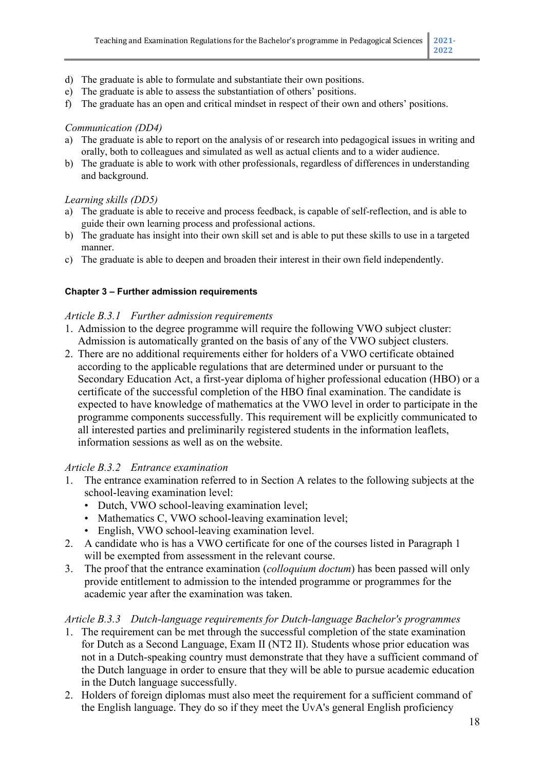- d) The graduate is able to formulate and substantiate their own positions.
- e) The graduate is able to assess the substantiation of others' positions.
- f) The graduate has an open and critical mindset in respect of their own and others' positions.

#### *Communication (DD4)*

- a) The graduate is able to report on the analysis of or research into pedagogical issues in writing and orally, both to colleagues and simulated as well as actual clients and to a wider audience.
- b) The graduate is able to work with other professionals, regardless of differences in understanding and background.

#### *Learning skills (DD5)*

- a) The graduate is able to receive and process feedback, is capable of self-reflection, and is able to guide their own learning process and professional actions.
- b) The graduate has insight into their own skill set and is able to put these skills to use in a targeted manner.
- c) The graduate is able to deepen and broaden their interest in their own field independently.

#### **Chapter 3 – Further admission requirements**

#### *Article B.3.1 Further admission requirements*

- 1. Admission to the degree programme will require the following VWO subject cluster: Admission is automatically granted on the basis of any of the VWO subject clusters.
- 2. There are no additional requirements either for holders of a VWO certificate obtained according to the applicable regulations that are determined under or pursuant to the Secondary Education Act, a first-year diploma of higher professional education (HBO) or a certificate of the successful completion of the HBO final examination. The candidate is expected to have knowledge of mathematics at the VWO level in order to participate in the programme components successfully. This requirement will be explicitly communicated to all interested parties and preliminarily registered students in the information leaflets, information sessions as well as on the website.

#### *Article B.3.2 Entrance examination*

- 1. The entrance examination referred to in Section A relates to the following subjects at the school-leaving examination level:
	- Dutch, VWO school-leaving examination level;
	- Mathematics C, VWO school-leaving examination level;
	- English, VWO school-leaving examination level.
- 2. A candidate who is has a VWO certificate for one of the courses listed in Paragraph 1 will be exempted from assessment in the relevant course.
- 3. The proof that the entrance examination (*colloquium doctum*) has been passed will only provide entitlement to admission to the intended programme or programmes for the academic year after the examination was taken.

#### *Article B.3.3 Dutch-language requirements for Dutch-language Bachelor's programmes*

- 1. The requirement can be met through the successful completion of the state examination for Dutch as a Second Language, Exam II (NT2 II). Students whose prior education was not in a Dutch-speaking country must demonstrate that they have a sufficient command of the Dutch language in order to ensure that they will be able to pursue academic education in the Dutch language successfully.
- 2. Holders of foreign diplomas must also meet the requirement for a sufficient command of the English language. They do so if they meet the UvA's general English proficiency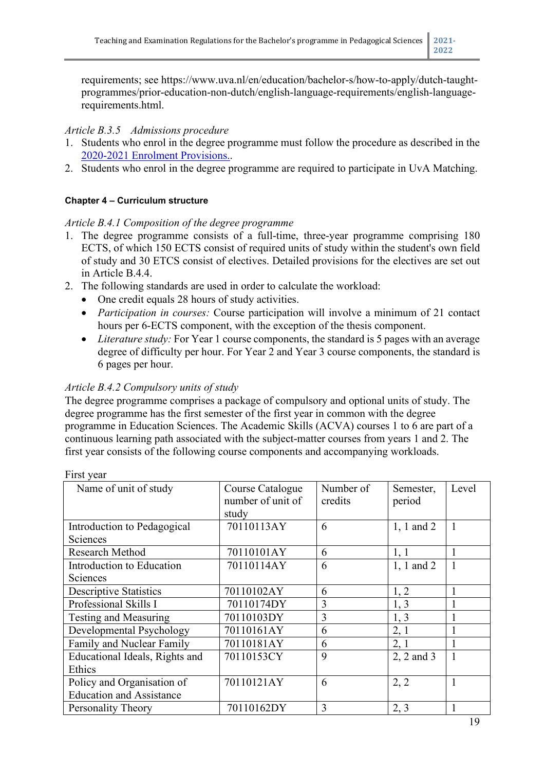requirements; see https://www.uva.nl/en/education/bachelor-s/how-to-apply/dutch-taughtprogrammes/prior-education-non-dutch/english-language-requirements/english-languagerequirements.html.

## *Article B.3.5 Admissions procedure*

- 1. Students who enrol in the degree programme must follow the procedure as described in the [2020-2021 Enrolment Provisions..](https://www.uva.nl/over-de-uva/over-de-universiteit/regelingen-en-reglementen/onderwijs/onderwijs.html)
- 2. Students who enrol in the degree programme are required to participate in UvA Matching.

## **Chapter 4 – Curriculum structure**

## *Article B.4.1 Composition of the degree programme*

- 1. The degree programme consists of a full-time, three-year programme comprising 180 ECTS, of which 150 ECTS consist of required units of study within the student's own field of study and 30 ETCS consist of electives. Detailed provisions for the electives are set out in Article B.4.4.
- 2. The following standards are used in order to calculate the workload:
	- One credit equals 28 hours of study activities.
	- *Participation in courses:* Course participation will involve a minimum of 21 contact hours per 6-ECTS component, with the exception of the thesis component.
	- *Literature study:* For Year 1 course components, the standard is 5 pages with an average degree of difficulty per hour. For Year 2 and Year 3 course components, the standard is 6 pages per hour.

## *Article B.4.2 Compulsory units of study*

The degree programme comprises a package of compulsory and optional units of study. The degree programme has the first semester of the first year in common with the degree programme in Education Sciences. The Academic Skills (ACVA) courses 1 to 6 are part of a continuous learning path associated with the subject-matter courses from years 1 and 2. The first year consists of the following course components and accompanying workloads.

| Name of unit of study           | Course Catalogue<br>number of unit of<br>study | Number of<br>credits | Semester,<br>period | Level        |
|---------------------------------|------------------------------------------------|----------------------|---------------------|--------------|
| Introduction to Pedagogical     | 70110113AY                                     | 6                    | $1, 1$ and $2$      | 1            |
| Sciences                        |                                                |                      |                     |              |
| Research Method                 | 70110101AY                                     | 6                    | 1, 1                | 1            |
| Introduction to Education       | 70110114AY                                     | 6                    | 1, 1 and 2          | $\mathbf{1}$ |
| Sciences                        |                                                |                      |                     |              |
| <b>Descriptive Statistics</b>   | 70110102AY                                     | 6                    | 1, 2                |              |
| Professional Skills I           | 70110174DY                                     | 3                    | 1, 3                |              |
| Testing and Measuring           | 70110103DY                                     | $\overline{3}$       | 1, 3                |              |
| Developmental Psychology        | 70110161AY                                     | 6                    | 2, 1                |              |
| Family and Nuclear Family       | 70110181AY                                     | 6                    | 2, 1                | 1            |
| Educational Ideals, Rights and  | 70110153CY                                     | 9                    | 2, 2 and 3          | 1            |
| Ethics                          |                                                |                      |                     |              |
| Policy and Organisation of      | 70110121AY                                     | 6                    | 2, 2                | $\mathbf{1}$ |
| <b>Education and Assistance</b> |                                                |                      |                     |              |
| Personality Theory              | 70110162DY                                     | 3                    | 2, 3                |              |

First year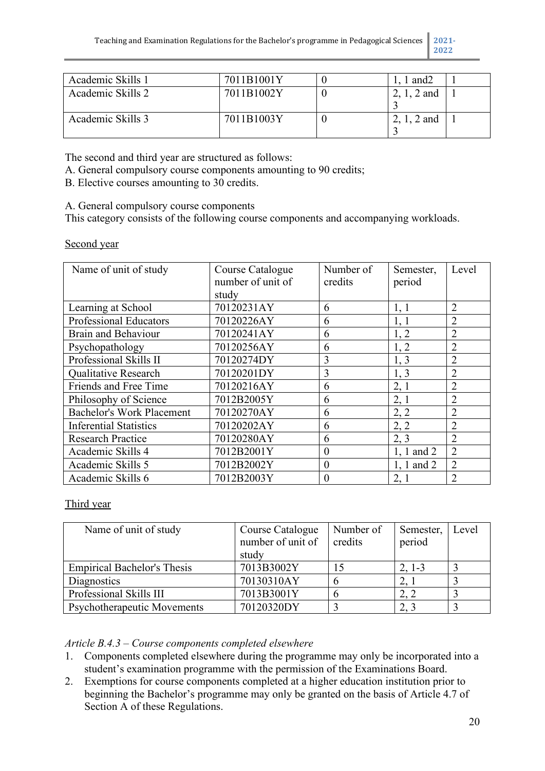Academic Skills 1 7011B1001Y 0 1, 1 and2 1 Academic Skills 2  $\vert$  7011B1002Y  $\vert$  0  $\vert$  2, 1, 2 and  $\frac{3}{2}$ , 1, 2 and 1 Academic Skills 3 7011B1003Y 0 3 1

The second and third year are structured as follows:

A. General compulsory course components amounting to 90 credits;

B. Elective courses amounting to 30 credits.

A. General compulsory course components

This category consists of the following course components and accompanying workloads.

Second year

| Name of unit of study            | Course Catalogue  | Number of        | Semester,      | Level          |
|----------------------------------|-------------------|------------------|----------------|----------------|
|                                  | number of unit of | credits          | period         |                |
|                                  | study             |                  |                |                |
| Learning at School               | 70120231AY        | 6                | 1, 1           | $\overline{2}$ |
| <b>Professional Educators</b>    | 70120226AY        | 6                | 1, 1           | $\overline{2}$ |
| <b>Brain and Behaviour</b>       | 70120241AY        | 6                | 1, 2           | $\overline{2}$ |
| Psychopathology                  | 70120256AY        | 6                | 1, 2           | $\overline{2}$ |
| Professional Skills II           | 70120274DY        | 3                | 1, 3           | $\overline{2}$ |
| <b>Qualitative Research</b>      | 70120201DY        | 3                | 1, 3           | $\overline{2}$ |
| Friends and Free Time            | 70120216AY        | 6                | 2,1            | $\overline{2}$ |
| Philosophy of Science            | 7012B2005Y        | 6                | 2,1            | $\overline{2}$ |
| <b>Bachelor's Work Placement</b> | 70120270AY        | 6                | 2, 2           | $\overline{2}$ |
| <b>Inferential Statistics</b>    | 70120202AY        | 6                | 2, 2           | $\overline{2}$ |
| <b>Research Practice</b>         | 70120280AY        | 6                | 2, 3           | $\overline{2}$ |
| Academic Skills 4                | 7012B2001Y        | $\boldsymbol{0}$ | $1, 1$ and $2$ | $\overline{2}$ |
| Academic Skills 5                | 7012B2002Y        | $\theta$         | $1, 1$ and $2$ | $\overline{2}$ |
| Academic Skills 6                | 7012B2003Y        | $\overline{0}$   | 2, 1           | $\overline{2}$ |

Third year

| Name of unit of study              | Course Catalogue  | Number of | Semester, | Level |
|------------------------------------|-------------------|-----------|-----------|-------|
|                                    | number of unit of | credits   | period    |       |
|                                    | study             |           |           |       |
| <b>Empirical Bachelor's Thesis</b> | 7013B3002Y        |           | $2, 1-3$  |       |
| Diagnostics                        | 70130310AY        |           | 2,        |       |
| Professional Skills III            | 7013B3001Y        |           | 2, 2      |       |
| Psychotherapeutic Movements        | 70120320DY        |           | 2, 3      |       |

#### *Article B.4.3 – Course components completed elsewhere*

- 1. Components completed elsewhere during the programme may only be incorporated into a student's examination programme with the permission of the Examinations Board.
- 2. Exemptions for course components completed at a higher education institution prior to beginning the Bachelor's programme may only be granted on the basis of Article 4.7 of Section A of these Regulations.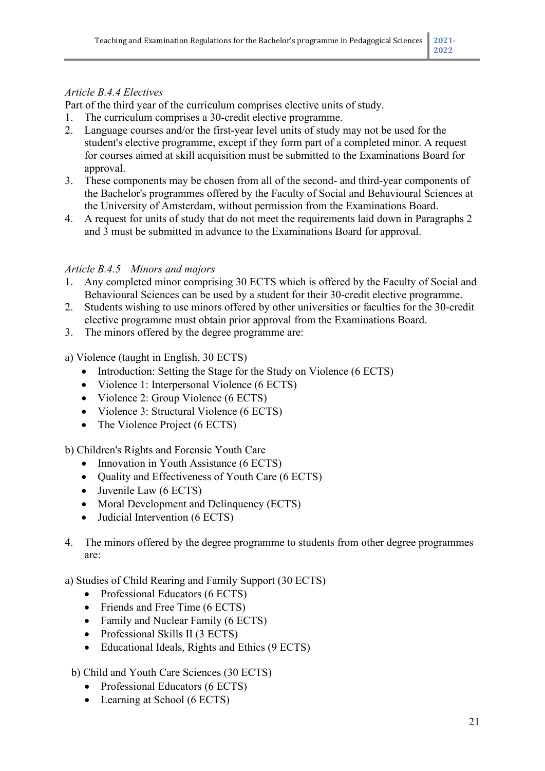## *Article B.4.4 Electives*

Part of the third year of the curriculum comprises elective units of study.

- 1. The curriculum comprises a 30-credit elective programme.
- 2. Language courses and/or the first-year level units of study may not be used for the student's elective programme, except if they form part of a completed minor. A request for courses aimed at skill acquisition must be submitted to the Examinations Board for approval.
- 3. These components may be chosen from all of the second- and third-year components of the Bachelor's programmes offered by the Faculty of Social and Behavioural Sciences at the University of Amsterdam, without permission from the Examinations Board.
- 4. A request for units of study that do not meet the requirements laid down in Paragraphs 2 and 3 must be submitted in advance to the Examinations Board for approval.

## *Article B.4.5 Minors and majors*

- 1. Any completed minor comprising 30 ECTS which is offered by the Faculty of Social and Behavioural Sciences can be used by a student for their 30-credit elective programme.
- 2. Students wishing to use minors offered by other universities or faculties for the 30-credit elective programme must obtain prior approval from the Examinations Board.
- 3. The minors offered by the degree programme are:

## a) Violence (taught in English, 30 ECTS)

- Introduction: Setting the Stage for the Study on Violence (6 ECTS)
- Violence 1: Interpersonal Violence (6 ECTS)
- Violence 2: Group Violence (6 ECTS)
- Violence 3: Structural Violence (6 ECTS)
- The Violence Project (6 ECTS)

#### b) Children's Rights and Forensic Youth Care

- Innovation in Youth Assistance (6 ECTS)
- Quality and Effectiveness of Youth Care (6 ECTS)
- Juvenile Law (6 ECTS)
- Moral Development and Delinquency (ECTS)
- Judicial Intervention (6 ECTS)
- 4. The minors offered by the degree programme to students from other degree programmes are:

#### a) Studies of Child Rearing and Family Support (30 ECTS)

- Professional Educators (6 ECTS)
- Friends and Free Time (6 ECTS)
- Family and Nuclear Family (6 ECTS)
- Professional Skills II (3 ECTS)
- Educational Ideals, Rights and Ethics (9 ECTS)

#### b) Child and Youth Care Sciences (30 ECTS)

- Professional Educators (6 ECTS)
- Learning at School (6 ECTS)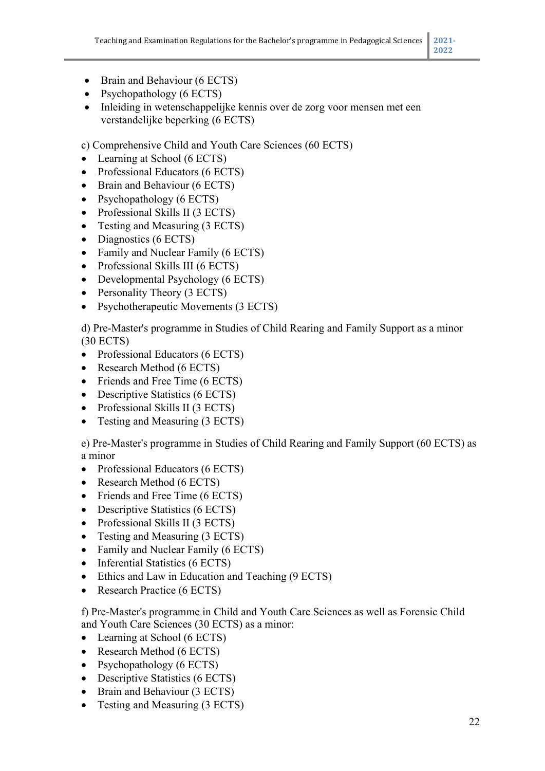- Brain and Behaviour (6 ECTS)
- Psychopathology (6 ECTS)
- Inleiding in wetenschappelijke kennis over de zorg voor mensen met een verstandelijke beperking (6 ECTS)

c) Comprehensive Child and Youth Care Sciences (60 ECTS)

- Learning at School (6 ECTS)
- Professional Educators (6 ECTS)
- Brain and Behaviour (6 ECTS)
- Psychopathology (6 ECTS)
- Professional Skills II (3 ECTS)
- Testing and Measuring (3 ECTS)
- Diagnostics (6 ECTS)
- Family and Nuclear Family (6 ECTS)
- Professional Skills III (6 ECTS)
- Developmental Psychology (6 ECTS)
- Personality Theory (3 ECTS)
- Psychotherapeutic Movements (3 ECTS)

d) Pre-Master's programme in Studies of Child Rearing and Family Support as a minor (30 ECTS)

- Professional Educators (6 ECTS)
- Research Method (6 ECTS)
- Friends and Free Time (6 ECTS)
- Descriptive Statistics (6 ECTS)
- Professional Skills II (3 ECTS)
- Testing and Measuring (3 ECTS)

e) Pre-Master's programme in Studies of Child Rearing and Family Support (60 ECTS) as a minor

- Professional Educators (6 ECTS)
- Research Method (6 ECTS)
- Friends and Free Time (6 ECTS)
- Descriptive Statistics (6 ECTS)
- Professional Skills II (3 ECTS)
- Testing and Measuring (3 ECTS)
- Family and Nuclear Family (6 ECTS)
- Inferential Statistics (6 ECTS)
- Ethics and Law in Education and Teaching (9 ECTS)
- Research Practice (6 ECTS)

f) Pre-Master's programme in Child and Youth Care Sciences as well as Forensic Child and Youth Care Sciences (30 ECTS) as a minor:

- Learning at School (6 ECTS)
- Research Method (6 ECTS)
- Psychopathology (6 ECTS)
- Descriptive Statistics (6 ECTS)
- Brain and Behaviour (3 ECTS)
- Testing and Measuring (3 ECTS)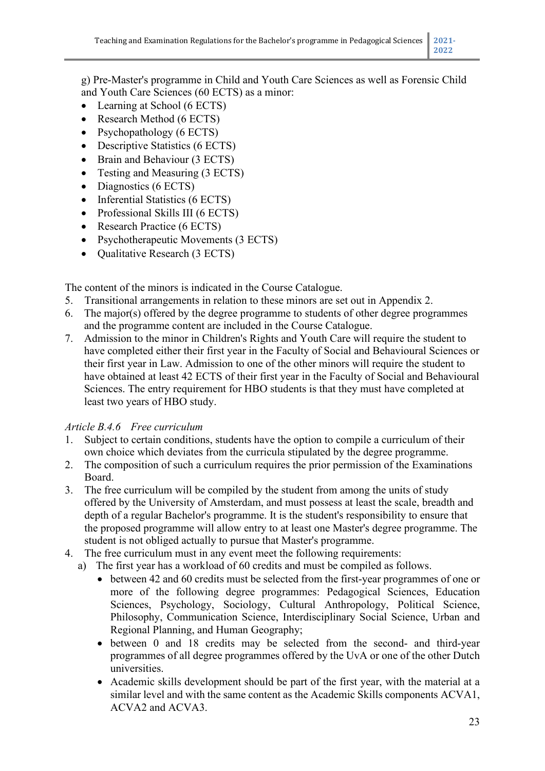g) Pre-Master's programme in Child and Youth Care Sciences as well as Forensic Child and Youth Care Sciences (60 ECTS) as a minor:

- Learning at School (6 ECTS)
- Research Method (6 ECTS)
- Psychopathology (6 ECTS)
- Descriptive Statistics (6 ECTS)
- Brain and Behaviour (3 ECTS)
- Testing and Measuring (3 ECTS)
- Diagnostics (6 ECTS)
- Inferential Statistics (6 ECTS)
- Professional Skills III (6 ECTS)
- Research Practice (6 ECTS)
- Psychotherapeutic Movements (3 ECTS)
- Qualitative Research (3 ECTS)

The content of the minors is indicated in the Course Catalogue.

- 5. Transitional arrangements in relation to these minors are set out in Appendix 2.
- 6. The major(s) offered by the degree programme to students of other degree programmes and the programme content are included in the Course Catalogue.
- 7. Admission to the minor in Children's Rights and Youth Care will require the student to have completed either their first year in the Faculty of Social and Behavioural Sciences or their first year in Law. Admission to one of the other minors will require the student to have obtained at least 42 ECTS of their first year in the Faculty of Social and Behavioural Sciences. The entry requirement for HBO students is that they must have completed at least two years of HBO study.

## *Article B.4.6 Free curriculum*

- 1. Subject to certain conditions, students have the option to compile a curriculum of their own choice which deviates from the curricula stipulated by the degree programme.
- 2. The composition of such a curriculum requires the prior permission of the Examinations Board.
- 3. The free curriculum will be compiled by the student from among the units of study offered by the University of Amsterdam, and must possess at least the scale, breadth and depth of a regular Bachelor's programme. It is the student's responsibility to ensure that the proposed programme will allow entry to at least one Master's degree programme. The student is not obliged actually to pursue that Master's programme.
- 4. The free curriculum must in any event meet the following requirements:
	- a) The first year has a workload of 60 credits and must be compiled as follows.
		- between 42 and 60 credits must be selected from the first-year programmes of one or more of the following degree programmes: Pedagogical Sciences, Education Sciences, Psychology, Sociology, Cultural Anthropology, Political Science, Philosophy, Communication Science, Interdisciplinary Social Science, Urban and Regional Planning, and Human Geography;
		- between 0 and 18 credits may be selected from the second- and third-year programmes of all degree programmes offered by the UvA or one of the other Dutch universities.
		- Academic skills development should be part of the first year, with the material at a similar level and with the same content as the Academic Skills components ACVA1, ACVA2 and ACVA3.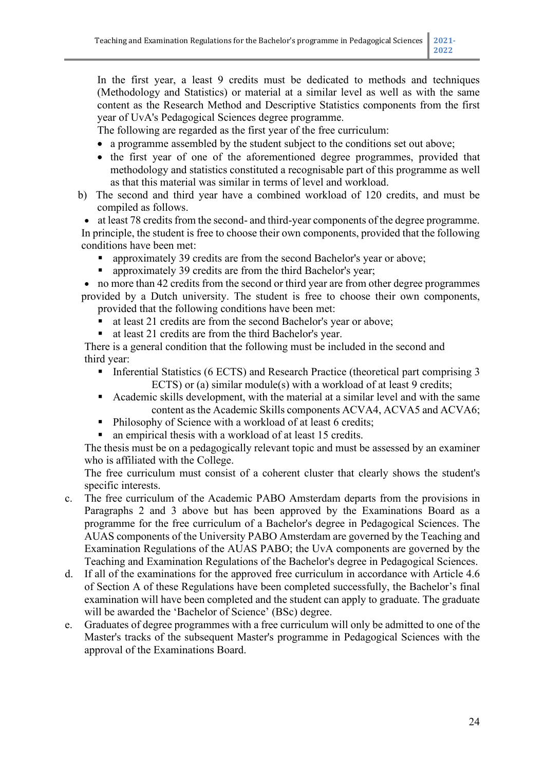In the first year, a least 9 credits must be dedicated to methods and techniques (Methodology and Statistics) or material at a similar level as well as with the same content as the Research Method and Descriptive Statistics components from the first year of UvA's Pedagogical Sciences degree programme.

The following are regarded as the first year of the free curriculum:

- a programme assembled by the student subject to the conditions set out above;
- the first year of one of the aforementioned degree programmes, provided that methodology and statistics constituted a recognisable part of this programme as well as that this material was similar in terms of level and workload.
- b) The second and third year have a combined workload of 120 credits, and must be compiled as follows.

• at least 78 credits from the second- and third-year components of the degree programme. In principle, the student is free to choose their own components, provided that the following conditions have been met:

- approximately 39 credits are from the second Bachelor's year or above;
- approximately 39 credits are from the third Bachelor's year;

• no more than 42 credits from the second or third year are from other degree programmes provided by a Dutch university. The student is free to choose their own components, provided that the following conditions have been met:

- at least 21 credits are from the second Bachelor's year or above;
- at least 21 credits are from the third Bachelor's year.

There is a general condition that the following must be included in the second and third year:

- Inferential Statistics (6 ECTS) and Research Practice (theoretical part comprising 3 ECTS) or (a) similar module(s) with a workload of at least 9 credits;
- Academic skills development, with the material at a similar level and with the same content as the Academic Skills components ACVA4, ACVA5 and ACVA6;
- Philosophy of Science with a workload of at least 6 credits;
- an empirical thesis with a workload of at least 15 credits.

The thesis must be on a pedagogically relevant topic and must be assessed by an examiner who is affiliated with the College.

The free curriculum must consist of a coherent cluster that clearly shows the student's specific interests.

- c. The free curriculum of the Academic PABO Amsterdam departs from the provisions in Paragraphs 2 and 3 above but has been approved by the Examinations Board as a programme for the free curriculum of a Bachelor's degree in Pedagogical Sciences. The AUAS components of the University PABO Amsterdam are governed by the Teaching and Examination Regulations of the AUAS PABO; the UvA components are governed by the Teaching and Examination Regulations of the Bachelor's degree in Pedagogical Sciences.
- d. If all of the examinations for the approved free curriculum in accordance with Article 4.6 of Section A of these Regulations have been completed successfully, the Bachelor's final examination will have been completed and the student can apply to graduate. The graduate will be awarded the 'Bachelor of Science' (BSc) degree.
- e. Graduates of degree programmes with a free curriculum will only be admitted to one of the Master's tracks of the subsequent Master's programme in Pedagogical Sciences with the approval of the Examinations Board.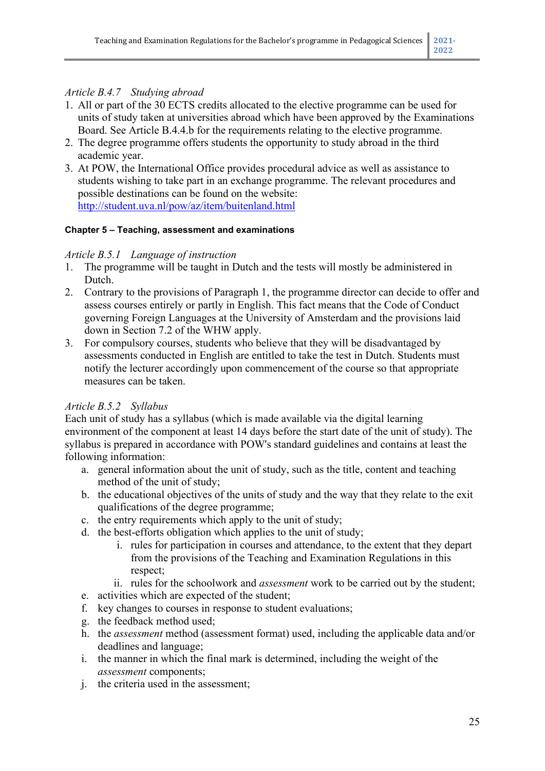## *Article B.4.7 Studying abroad*

- 1. All or part of the 30 ECTS credits allocated to the elective programme can be used for units of study taken at universities abroad which have been approved by the Examinations Board. See Article B.4.4.b for the requirements relating to the elective programme.
- 2. The degree programme offers students the opportunity to study abroad in the third academic year.
- 3. At POW, the International Office provides procedural advice as well as assistance to students wishing to take part in an exchange programme. The relevant procedures and possible destinations can be found on the website: http://student.uva.nl/pow/az/item/buitenland.html

#### **Chapter 5 – Teaching, assessment and examinations**

#### *Article B.5.1 Language of instruction*

- 1. The programme will be taught in Dutch and the tests will mostly be administered in Dutch.
- 2. Contrary to the provisions of Paragraph 1, the programme director can decide to offer and assess courses entirely or partly in English. This fact means that the Code of Conduct governing Foreign Languages at the University of Amsterdam and the provisions laid down in Section 7.2 of the WHW apply.
- 3. For compulsory courses, students who believe that they will be disadvantaged by assessments conducted in English are entitled to take the test in Dutch. Students must notify the lecturer accordingly upon commencement of the course so that appropriate measures can be taken.

#### *Article B.5.2 Syllabus*

Each unit of study has a syllabus (which is made available via the digital learning environment of the component at least 14 days before the start date of the unit of study). The syllabus is prepared in accordance with POW's standard guidelines and contains at least the following information:

- a. general information about the unit of study, such as the title, content and teaching method of the unit of study;
- b. the educational objectives of the units of study and the way that they relate to the exit qualifications of the degree programme;
- c. the entry requirements which apply to the unit of study;
- d. the best-efforts obligation which applies to the unit of study;
	- i. rules for participation in courses and attendance, to the extent that they depart from the provisions of the Teaching and Examination Regulations in this respect;
	- ii. rules for the schoolwork and *assessment* work to be carried out by the student;
- e. activities which are expected of the student;
- f. key changes to courses in response to student evaluations;
- g. the feedback method used;
- h. the *assessment* method (assessment format) used, including the applicable data and/or deadlines and language;
- i. the manner in which the final mark is determined, including the weight of the *assessment* components;
- j. the criteria used in the assessment;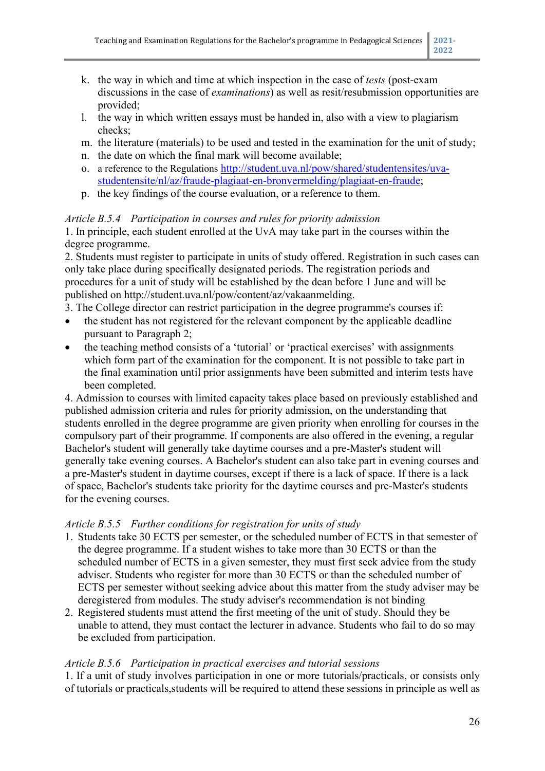- k. the way in which and time at which inspection in the case of *tests* (post-exam discussions in the case of *examinations*) as well as resit/resubmission opportunities are provided;
- l. the way in which written essays must be handed in, also with a view to plagiarism checks;
- m. the literature (materials) to be used and tested in the examination for the unit of study;
- n. the date on which the final mark will become available;
- o. a reference to the Regulations [http://student.uva.nl/pow/shared/studentensites/uva](http://student.uva.nl/pow/shared/studentensites/uva-studentensite/nl/az/fraude-plagiaat-en-bronvermelding/plagiaat-en-fraude)[studentensite/nl/az/fraude-plagiaat-en-bronvermelding/plagiaat-en-fraude;](http://student.uva.nl/pow/shared/studentensites/uva-studentensite/nl/az/fraude-plagiaat-en-bronvermelding/plagiaat-en-fraude)
- p. the key findings of the course evaluation, or a reference to them.

## *Article B.5.4 Participation in courses and rules for priority admission*

1. In principle, each student enrolled at the UvA may take part in the courses within the degree programme.

2. Students must register to participate in units of study offered. Registration in such cases can only take place during specifically designated periods. The registration periods and procedures for a unit of study will be established by the dean before 1 June and will be published on http://student.uva.nl/pow/content/az/vakaanmelding.

3. The College director can restrict participation in the degree programme's courses if:

- the student has not registered for the relevant component by the applicable deadline pursuant to Paragraph 2;
- the teaching method consists of a 'tutorial' or 'practical exercises' with assignments which form part of the examination for the component. It is not possible to take part in the final examination until prior assignments have been submitted and interim tests have been completed.

4. Admission to courses with limited capacity takes place based on previously established and published admission criteria and rules for priority admission, on the understanding that students enrolled in the degree programme are given priority when enrolling for courses in the compulsory part of their programme. If components are also offered in the evening, a regular Bachelor's student will generally take daytime courses and a pre-Master's student will generally take evening courses. A Bachelor's student can also take part in evening courses and a pre-Master's student in daytime courses, except if there is a lack of space. If there is a lack of space, Bachelor's students take priority for the daytime courses and pre-Master's students for the evening courses.

#### *Article B.5.5 Further conditions for registration for units of study*

- 1. Students take 30 ECTS per semester, or the scheduled number of ECTS in that semester of the degree programme. If a student wishes to take more than 30 ECTS or than the scheduled number of ECTS in a given semester, they must first seek advice from the study adviser. Students who register for more than 30 ECTS or than the scheduled number of ECTS per semester without seeking advice about this matter from the study adviser may be deregistered from modules. The study adviser's recommendation is not binding
- 2. Registered students must attend the first meeting of the unit of study. Should they be unable to attend, they must contact the lecturer in advance. Students who fail to do so may be excluded from participation.

## *Article B.5.6 Participation in practical exercises and tutorial sessions*

1. If a unit of study involves participation in one or more tutorials/practicals, or consists only of tutorials or practicals,students will be required to attend these sessions in principle as well as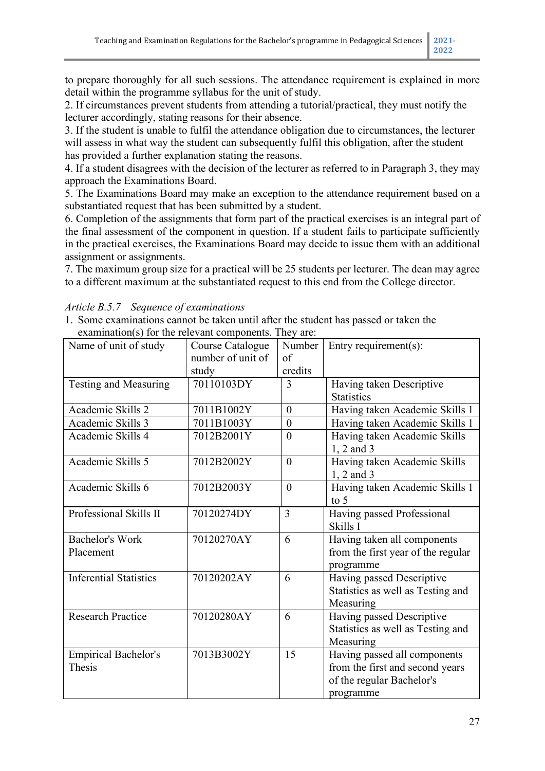to prepare thoroughly for all such sessions. The attendance requirement is explained in more detail within the programme syllabus for the unit of study.

2. If circumstances prevent students from attending a tutorial/practical, they must notify the lecturer accordingly, stating reasons for their absence.

3. If the student is unable to fulfil the attendance obligation due to circumstances, the lecturer will assess in what way the student can subsequently fulfil this obligation, after the student has provided a further explanation stating the reasons.

4. If a student disagrees with the decision of the lecturer as referred to in Paragraph 3, they may approach the Examinations Board.

5. The Examinations Board may make an exception to the attendance requirement based on a substantiated request that has been submitted by a student.

6. Completion of the assignments that form part of the practical exercises is an integral part of the final assessment of the component in question. If a student fails to participate sufficiently in the practical exercises, the Examinations Board may decide to issue them with an additional assignment or assignments.

7. The maximum group size for a practical will be 25 students per lecturer. The dean may agree to a different maximum at the substantiated request to this end from the College director.

| examination(s) for the refevant components. They are:<br>Name of unit of study | Course Catalogue  | Number           | Entry requirement(s):              |
|--------------------------------------------------------------------------------|-------------------|------------------|------------------------------------|
|                                                                                | number of unit of | of               |                                    |
|                                                                                | study             | credits          |                                    |
| Testing and Measuring                                                          | 70110103DY        | 3                | Having taken Descriptive           |
|                                                                                |                   |                  | <b>Statistics</b>                  |
| Academic Skills 2                                                              | 7011B1002Y        | $\theta$         |                                    |
|                                                                                |                   |                  | Having taken Academic Skills 1     |
| Academic Skills 3                                                              | 7011B1003Y        | $\boldsymbol{0}$ | Having taken Academic Skills 1     |
| Academic Skills 4                                                              | 7012B2001Y        | $\theta$         | Having taken Academic Skills       |
|                                                                                |                   |                  | 1, 2 and 3                         |
| Academic Skills 5                                                              | 7012B2002Y        | $\theta$         | Having taken Academic Skills       |
|                                                                                |                   |                  | $1, 2$ and 3                       |
| Academic Skills 6                                                              | 7012B2003Y        | $\theta$         | Having taken Academic Skills 1     |
|                                                                                |                   |                  | to $5$                             |
| Professional Skills II                                                         | 70120274DY        | $\overline{3}$   | Having passed Professional         |
|                                                                                |                   |                  | Skills I                           |
| <b>Bachelor's Work</b>                                                         | 70120270AY        | 6                | Having taken all components        |
| Placement                                                                      |                   |                  | from the first year of the regular |
|                                                                                |                   |                  | programme                          |
| <b>Inferential Statistics</b>                                                  | 70120202AY        | 6                | Having passed Descriptive          |
|                                                                                |                   |                  | Statistics as well as Testing and  |
|                                                                                |                   |                  | Measuring                          |
| <b>Research Practice</b>                                                       | 70120280AY        | 6                | Having passed Descriptive          |
|                                                                                |                   |                  | Statistics as well as Testing and  |
|                                                                                |                   |                  |                                    |
|                                                                                |                   |                  | Measuring                          |
| <b>Empirical Bachelor's</b>                                                    | 7013B3002Y        | 15               | Having passed all components       |
| Thesis                                                                         |                   |                  | from the first and second years    |
|                                                                                |                   |                  | of the regular Bachelor's          |
|                                                                                |                   |                  | programme                          |

*Article B.5.7 Sequence of examinations*

1. Some examinations cannot be taken until after the student has passed or taken the  $e^{i\omega t}$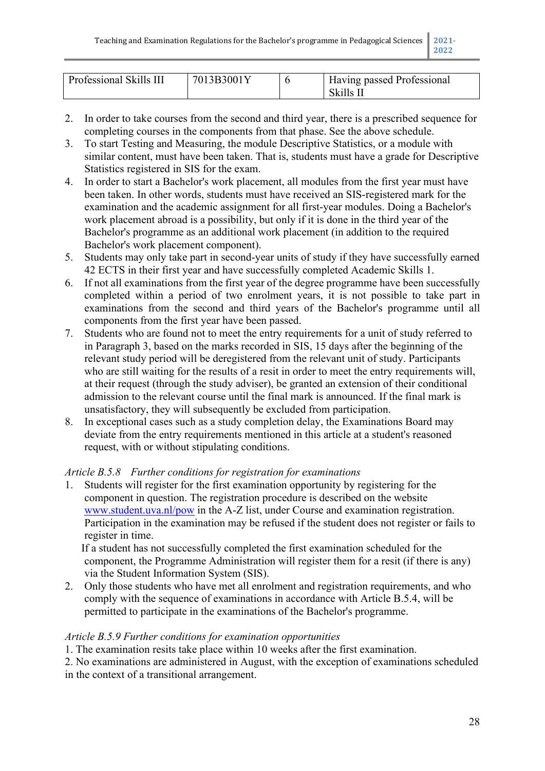| Professional Skills III | 7013B3001Y | Having passed Professional<br>-Skills II |
|-------------------------|------------|------------------------------------------|

- 2. In order to take courses from the second and third year, there is a prescribed sequence for completing courses in the components from that phase. See the above schedule.
- 3. To start Testing and Measuring, the module Descriptive Statistics, or a module with similar content, must have been taken. That is, students must have a grade for Descriptive Statistics registered in SIS for the exam.
- 4. In order to start a Bachelor's work placement, all modules from the first year must have been taken. In other words, students must have received an SIS-registered mark for the examination and the academic assignment for all first-year modules. Doing a Bachelor's work placement abroad is a possibility, but only if it is done in the third year of the Bachelor's programme as an additional work placement (in addition to the required Bachelor's work placement component).
- 5. Students may only take part in second-year units of study if they have successfully earned 42 ECTS in their first year and have successfully completed Academic Skills 1.
- 6. If not all examinations from the first year of the degree programme have been successfully completed within a period of two enrolment years, it is not possible to take part in examinations from the second and third years of the Bachelor's programme until all components from the first year have been passed.
- 7. Students who are found not to meet the entry requirements for a unit of study referred to in Paragraph 3, based on the marks recorded in SIS, 15 days after the beginning of the relevant study period will be deregistered from the relevant unit of study. Participants who are still waiting for the results of a resit in order to meet the entry requirements will, at their request (through the study adviser), be granted an extension of their conditional admission to the relevant course until the final mark is announced. If the final mark is unsatisfactory, they will subsequently be excluded from participation.
- 8. In exceptional cases such as a study completion delay, the Examinations Board may deviate from the entry requirements mentioned in this article at a student's reasoned request, with or without stipulating conditions.

## *Article B.5.8 Further conditions for registration for examinations*

1. Students will register for the first examination opportunity by registering for the component in question. The registration procedure is described on the website [www.student.uva.nl/pow](http://www.student.uva.nl/pow) in the A-Z list, under Course and examination registration. Participation in the examination may be refused if the student does not register or fails to register in time.

If a student has not successfully completed the first examination scheduled for the component, the Programme Administration will register them for a resit (if there is any) via the Student Information System (SIS).

2. Only those students who have met all enrolment and registration requirements, and who comply with the sequence of examinations in accordance with Article B.5.4, will be permitted to participate in the examinations of the Bachelor's programme.

#### *Article B.5.9 Further conditions for examination opportunities*

1. The examination resits take place within 10 weeks after the first examination.

2. No examinations are administered in August, with the exception of examinations scheduled in the context of a transitional arrangement.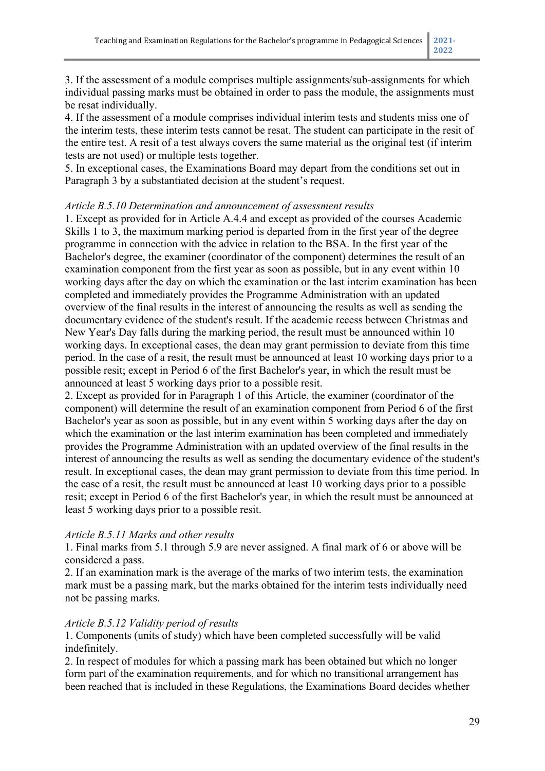3. If the assessment of a module comprises multiple assignments/sub-assignments for which individual passing marks must be obtained in order to pass the module, the assignments must be resat individually.

4. If the assessment of a module comprises individual interim tests and students miss one of the interim tests, these interim tests cannot be resat. The student can participate in the resit of the entire test. A resit of a test always covers the same material as the original test (if interim tests are not used) or multiple tests together.

5. In exceptional cases, the Examinations Board may depart from the conditions set out in Paragraph 3 by a substantiated decision at the student's request.

#### *Article B.5.10 Determination and announcement of assessment results*

1. Except as provided for in Article A.4.4 and except as provided of the courses Academic Skills 1 to 3, the maximum marking period is departed from in the first year of the degree programme in connection with the advice in relation to the BSA. In the first year of the Bachelor's degree, the examiner (coordinator of the component) determines the result of an examination component from the first year as soon as possible, but in any event within 10 working days after the day on which the examination or the last interim examination has been completed and immediately provides the Programme Administration with an updated overview of the final results in the interest of announcing the results as well as sending the documentary evidence of the student's result. If the academic recess between Christmas and New Year's Day falls during the marking period, the result must be announced within 10 working days. In exceptional cases, the dean may grant permission to deviate from this time period. In the case of a resit, the result must be announced at least 10 working days prior to a possible resit; except in Period 6 of the first Bachelor's year, in which the result must be announced at least 5 working days prior to a possible resit.

2. Except as provided for in Paragraph 1 of this Article, the examiner (coordinator of the component) will determine the result of an examination component from Period 6 of the first Bachelor's year as soon as possible, but in any event within 5 working days after the day on which the examination or the last interim examination has been completed and immediately provides the Programme Administration with an updated overview of the final results in the interest of announcing the results as well as sending the documentary evidence of the student's result. In exceptional cases, the dean may grant permission to deviate from this time period. In the case of a resit, the result must be announced at least 10 working days prior to a possible resit; except in Period 6 of the first Bachelor's year, in which the result must be announced at least 5 working days prior to a possible resit.

#### *Article B.5.11 Marks and other results*

1. Final marks from 5.1 through 5.9 are never assigned. A final mark of 6 or above will be considered a pass.

2. If an examination mark is the average of the marks of two interim tests, the examination mark must be a passing mark, but the marks obtained for the interim tests individually need not be passing marks.

#### *Article B.5.12 Validity period of results*

1. Components (units of study) which have been completed successfully will be valid indefinitely.

2. In respect of modules for which a passing mark has been obtained but which no longer form part of the examination requirements, and for which no transitional arrangement has been reached that is included in these Regulations, the Examinations Board decides whether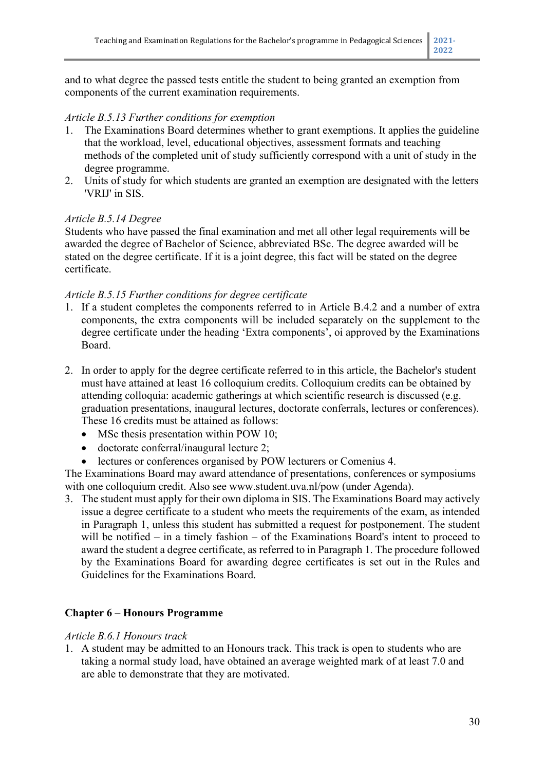and to what degree the passed tests entitle the student to being granted an exemption from components of the current examination requirements.

#### *Article B.5.13 Further conditions for exemption*

- 1. The Examinations Board determines whether to grant exemptions. It applies the guideline that the workload, level, educational objectives, assessment formats and teaching methods of the completed unit of study sufficiently correspond with a unit of study in the degree programme.
- 2. Units of study for which students are granted an exemption are designated with the letters 'VRIJ' in SIS.

#### *Article B.5.14 Degree*

Students who have passed the final examination and met all other legal requirements will be awarded the degree of Bachelor of Science, abbreviated BSc. The degree awarded will be stated on the degree certificate. If it is a joint degree, this fact will be stated on the degree certificate.

#### *Article B.5.15 Further conditions for degree certificate*

- 1. If a student completes the components referred to in Article B.4.2 and a number of extra components, the extra components will be included separately on the supplement to the degree certificate under the heading 'Extra components', oi approved by the Examinations Board.
- 2. In order to apply for the degree certificate referred to in this article, the Bachelor's student must have attained at least 16 colloquium credits. Colloquium credits can be obtained by attending colloquia: academic gatherings at which scientific research is discussed (e.g. graduation presentations, inaugural lectures, doctorate conferrals, lectures or conferences). These 16 credits must be attained as follows:
	- MSc thesis presentation within POW 10;
	- doctorate conferral/inaugural lecture 2:
	- lectures or conferences organised by POW lecturers or Comenius 4.

The Examinations Board may award attendance of presentations, conferences or symposiums with one colloquium credit. Also see www.student.uva.nl/pow (under Agenda).

3. The student must apply for their own diploma in SIS. The Examinations Board may actively issue a degree certificate to a student who meets the requirements of the exam, as intended in Paragraph 1, unless this student has submitted a request for postponement. The student will be notified – in a timely fashion – of the Examinations Board's intent to proceed to award the student a degree certificate, as referred to in Paragraph 1. The procedure followed by the Examinations Board for awarding degree certificates is set out in the Rules and Guidelines for the Examinations Board.

#### **Chapter 6 – Honours Programme**

#### *Article B.6.1 Honours track*

1. A student may be admitted to an Honours track. This track is open to students who are taking a normal study load, have obtained an average weighted mark of at least 7.0 and are able to demonstrate that they are motivated.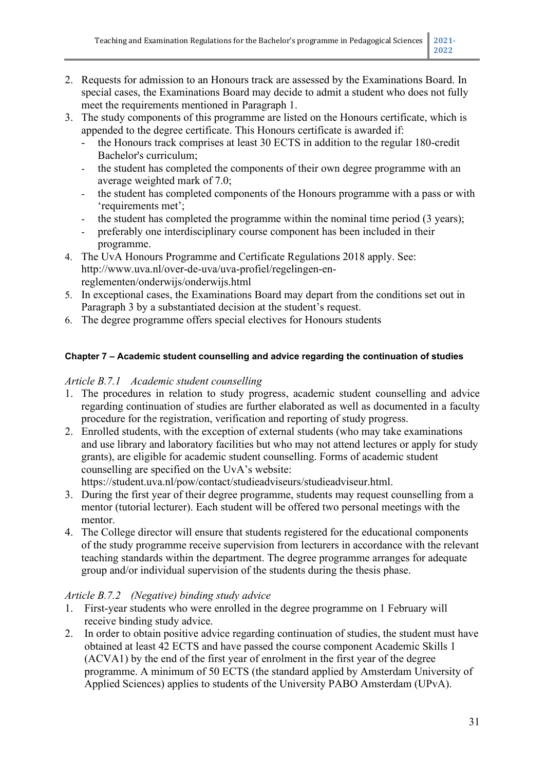- 2. Requests for admission to an Honours track are assessed by the Examinations Board. In special cases, the Examinations Board may decide to admit a student who does not fully meet the requirements mentioned in Paragraph 1.
- 3. The study components of this programme are listed on the Honours certificate, which is appended to the degree certificate. This Honours certificate is awarded if:
	- the Honours track comprises at least 30 ECTS in addition to the regular 180-credit Bachelor's curriculum;
	- the student has completed the components of their own degree programme with an average weighted mark of 7.0;
	- the student has completed components of the Honours programme with a pass or with 'requirements met';
	- the student has completed the programme within the nominal time period (3 years);
	- preferably one interdisciplinary course component has been included in their programme.
- 4. The UvA Honours Programme and Certificate Regulations 2018 apply. See: http://www.uva.nl/over-de-uva/uva-profiel/regelingen-enreglementen/onderwijs/onderwijs.html
- 5. In exceptional cases, the Examinations Board may depart from the conditions set out in Paragraph 3 by a substantiated decision at the student's request.
- 6. The degree programme offers special electives for Honours students

## **Chapter 7 – Academic student counselling and advice regarding the continuation of studies**

## *Article B.7.1 Academic student counselling*

- 1. The procedures in relation to study progress, academic student counselling and advice regarding continuation of studies are further elaborated as well as documented in a faculty procedure for the registration, verification and reporting of study progress.
- 2. Enrolled students, with the exception of external students (who may take examinations and use library and laboratory facilities but who may not attend lectures or apply for study grants), are eligible for academic student counselling. Forms of academic student counselling are specified on the UvA's website:

https://student.uva.nl/pow/contact/studieadviseurs/studieadviseur.html.

- 3. During the first year of their degree programme, students may request counselling from a mentor (tutorial lecturer). Each student will be offered two personal meetings with the mentor.
- 4. The College director will ensure that students registered for the educational components of the study programme receive supervision from lecturers in accordance with the relevant teaching standards within the department. The degree programme arranges for adequate group and/or individual supervision of the students during the thesis phase.

#### *Article B.7.2 (Negative) binding study advice*

- 1. First-year students who were enrolled in the degree programme on 1 February will receive binding study advice.
- 2. In order to obtain positive advice regarding continuation of studies, the student must have obtained at least 42 ECTS and have passed the course component Academic Skills 1 (ACVA1) by the end of the first year of enrolment in the first year of the degree programme. A minimum of 50 ECTS (the standard applied by Amsterdam University of Applied Sciences) applies to students of the University PABO Amsterdam (UPvA).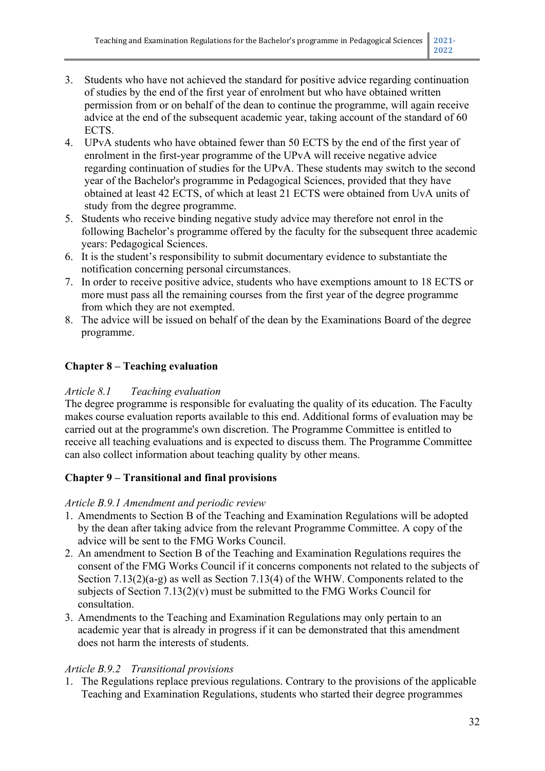- 3. Students who have not achieved the standard for positive advice regarding continuation of studies by the end of the first year of enrolment but who have obtained written permission from or on behalf of the dean to continue the programme, will again receive advice at the end of the subsequent academic year, taking account of the standard of 60 ECTS.
- 4. UPvA students who have obtained fewer than 50 ECTS by the end of the first year of enrolment in the first-year programme of the UPvA will receive negative advice regarding continuation of studies for the UPvA. These students may switch to the second year of the Bachelor's programme in Pedagogical Sciences, provided that they have obtained at least 42 ECTS, of which at least 21 ECTS were obtained from UvA units of study from the degree programme.
- 5. Students who receive binding negative study advice may therefore not enrol in the following Bachelor's programme offered by the faculty for the subsequent three academic years: Pedagogical Sciences.
- 6. It is the student's responsibility to submit documentary evidence to substantiate the notification concerning personal circumstances.
- 7. In order to receive positive advice, students who have exemptions amount to 18 ECTS or more must pass all the remaining courses from the first year of the degree programme from which they are not exempted.
- 8. The advice will be issued on behalf of the dean by the Examinations Board of the degree programme.

# **Chapter 8 – Teaching evaluation**

## *Article 8.1 Teaching evaluation*

The degree programme is responsible for evaluating the quality of its education. The Faculty makes course evaluation reports available to this end. Additional forms of evaluation may be carried out at the programme's own discretion. The Programme Committee is entitled to receive all teaching evaluations and is expected to discuss them. The Programme Committee can also collect information about teaching quality by other means.

# **Chapter 9 – Transitional and final provisions**

## *Article B.9.1 Amendment and periodic review*

- 1. Amendments to Section B of the Teaching and Examination Regulations will be adopted by the dean after taking advice from the relevant Programme Committee. A copy of the advice will be sent to the FMG Works Council.
- 2. An amendment to Section B of the Teaching and Examination Regulations requires the consent of the FMG Works Council if it concerns components not related to the subjects of Section 7.13(2)(a-g) as well as Section 7.13(4) of the WHW. Components related to the subjects of Section  $7.13(2)(v)$  must be submitted to the FMG Works Council for consultation.
- 3. Amendments to the Teaching and Examination Regulations may only pertain to an academic year that is already in progress if it can be demonstrated that this amendment does not harm the interests of students.

## *Article B.9.2 Transitional provisions*

1. The Regulations replace previous regulations. Contrary to the provisions of the applicable Teaching and Examination Regulations, students who started their degree programmes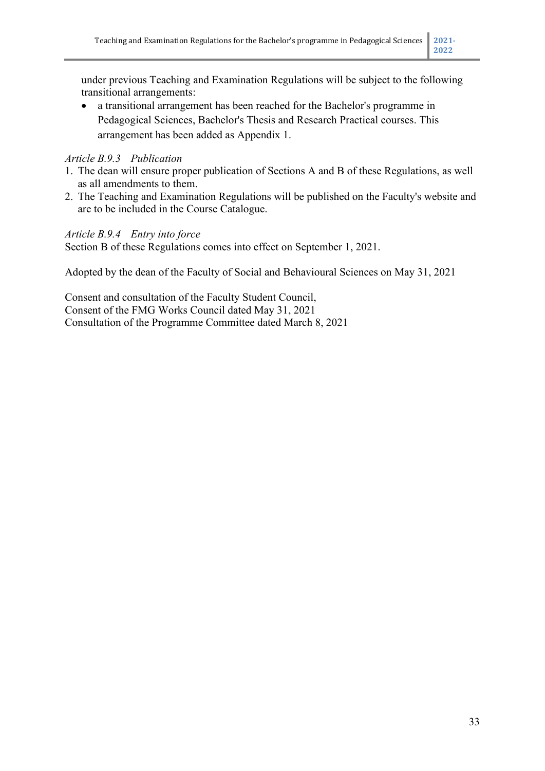under previous Teaching and Examination Regulations will be subject to the following transitional arrangements:

• a transitional arrangement has been reached for the Bachelor's programme in Pedagogical Sciences, Bachelor's Thesis and Research Practical courses. This arrangement has been added as Appendix 1.

## *Article B.9.3 Publication*

- 1. The dean will ensure proper publication of Sections A and B of these Regulations, as well as all amendments to them.
- 2. The Teaching and Examination Regulations will be published on the Faculty's website and are to be included in the Course Catalogue.

## *Article B.9.4 Entry into force*

Section B of these Regulations comes into effect on September 1, 2021.

Adopted by the dean of the Faculty of Social and Behavioural Sciences on May 31, 2021

Consent and consultation of the Faculty Student Council, Consent of the FMG Works Council dated May 31, 2021 Consultation of the Programme Committee dated March 8, 2021